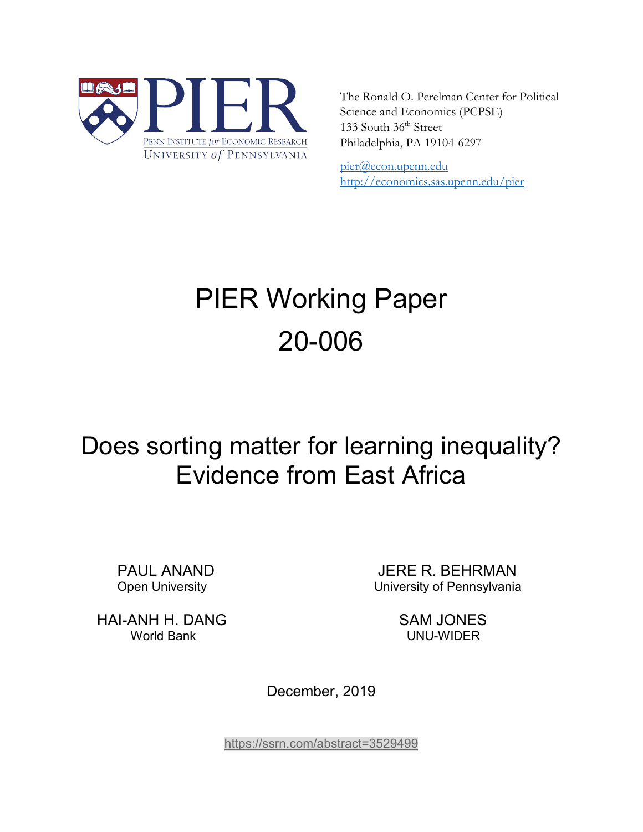

The Ronald O. Perelman Center for Political Science and Economics (PCPSE) 133 South 36<sup>th</sup> Street Philadelphia, PA 19104-6297

pier@econ.upenn.edu <http://economics.sas.upenn.edu/pier>

# PIER Working Paper 20-006

# Does sorting matter for learning inequality? Evidence from East Africa

PAUL ANAND JERE R. BEHRMAN Open University University of Pennsylvania

HAI-ANH H. DANG SAM JONES World Bank UNU-WIDER

December, 2019

<https://ssrn.com/abstract=3529499>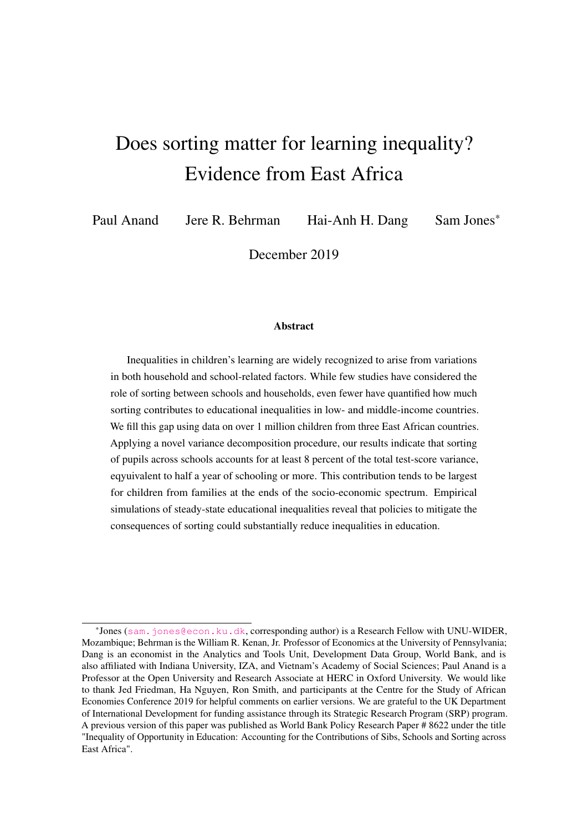# Does sorting matter for learning inequality? Evidence from East Africa

Paul Anand Jere R. Behrman Hai-Anh H. Dang Sam Jones\*

December 2019

#### Abstract

Inequalities in children's learning are widely recognized to arise from variations in both household and school-related factors. While few studies have considered the role of sorting between schools and households, even fewer have quantified how much sorting contributes to educational inequalities in low- and middle-income countries. We fill this gap using data on over 1 million children from three East African countries. Applying a novel variance decomposition procedure, our results indicate that sorting of pupils across schools accounts for at least 8 percent of the total test-score variance, eqyuivalent to half a year of schooling or more. This contribution tends to be largest for children from families at the ends of the socio-economic spectrum. Empirical simulations of steady-state educational inequalities reveal that policies to mitigate the consequences of sorting could substantially reduce inequalities in education.

<sup>\*</sup>Jones (<sam.jones@econ.ku.dk>, corresponding author) is a Research Fellow with UNU-WIDER, Mozambique; Behrman is the William R. Kenan, Jr. Professor of Economics at the University of Pennsylvania; Dang is an economist in the Analytics and Tools Unit, Development Data Group, World Bank, and is also affiliated with Indiana University, IZA, and Vietnam's Academy of Social Sciences; Paul Anand is a Professor at the Open University and Research Associate at HERC in Oxford University. We would like to thank Jed Friedman, Ha Nguyen, Ron Smith, and participants at the Centre for the Study of African Economies Conference 2019 for helpful comments on earlier versions. We are grateful to the UK Department of International Development for funding assistance through its Strategic Research Program (SRP) program. A previous version of this paper was published as World Bank Policy Research Paper # 8622 under the title "Inequality of Opportunity in Education: Accounting for the Contributions of Sibs, Schools and Sorting across East Africa".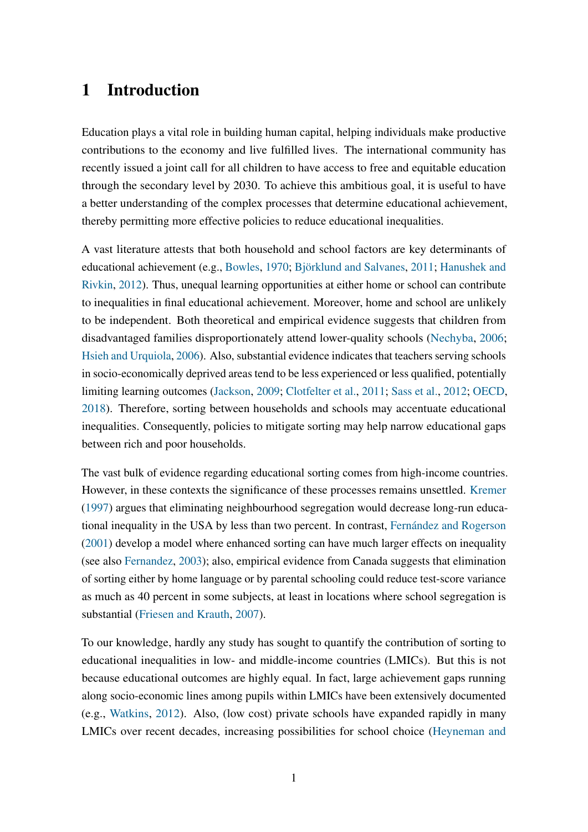### 1 Introduction

Education plays a vital role in building human capital, helping individuals make productive contributions to the economy and live fulfilled lives. The international community has recently issued a joint call for all children to have access to free and equitable education through the secondary level by 2030. To achieve this ambitious goal, it is useful to have a better understanding of the complex processes that determine educational achievement, thereby permitting more effective policies to reduce educational inequalities.

A vast literature attests that both household and school factors are key determinants of educational achievement (e.g., [Bowles,](#page-30-0) [1970;](#page-30-0) [Björklund and Salvanes,](#page-30-1) [2011;](#page-30-1) [Hanushek and](#page-32-0) [Rivkin,](#page-32-0) [2012\)](#page-32-0). Thus, unequal learning opportunities at either home or school can contribute to inequalities in final educational achievement. Moreover, home and school are unlikely to be independent. Both theoretical and empirical evidence suggests that children from disadvantaged families disproportionately attend lower-quality schools [\(Nechyba,](#page-33-0) [2006;](#page-33-0) [Hsieh and Urquiola,](#page-32-1) [2006\)](#page-32-1). Also, substantial evidence indicates that teachers serving schools in socio-economically deprived areas tend to be less experienced or less qualified, potentially limiting learning outcomes [\(Jackson,](#page-32-2) [2009;](#page-32-2) [Clotfelter et al.,](#page-31-0) [2011;](#page-31-0) [Sass et al.,](#page-33-1) [2012;](#page-33-1) [OECD,](#page-33-2) [2018\)](#page-33-2). Therefore, sorting between households and schools may accentuate educational inequalities. Consequently, policies to mitigate sorting may help narrow educational gaps between rich and poor households.

The vast bulk of evidence regarding educational sorting comes from high-income countries. However, in these contexts the significance of these processes remains unsettled. [Kremer](#page-32-3) [\(1997\)](#page-32-3) argues that eliminating neighbourhood segregation would decrease long-run educational inequality in the USA by less than two percent. In contrast, [Fernández and Rogerson](#page-31-1) [\(2001\)](#page-31-1) develop a model where enhanced sorting can have much larger effects on inequality (see also [Fernandez,](#page-31-2) [2003\)](#page-31-2); also, empirical evidence from Canada suggests that elimination of sorting either by home language or by parental schooling could reduce test-score variance as much as 40 percent in some subjects, at least in locations where school segregation is substantial [\(Friesen and Krauth,](#page-31-3) [2007\)](#page-31-3).

To our knowledge, hardly any study has sought to quantify the contribution of sorting to educational inequalities in low- and middle-income countries (LMICs). But this is not because educational outcomes are highly equal. In fact, large achievement gaps running along socio-economic lines among pupils within LMICs have been extensively documented (e.g., [Watkins,](#page-34-0) [2012\)](#page-34-0). Also, (low cost) private schools have expanded rapidly in many LMICs over recent decades, increasing possibilities for school choice [\(Heyneman and](#page-32-4)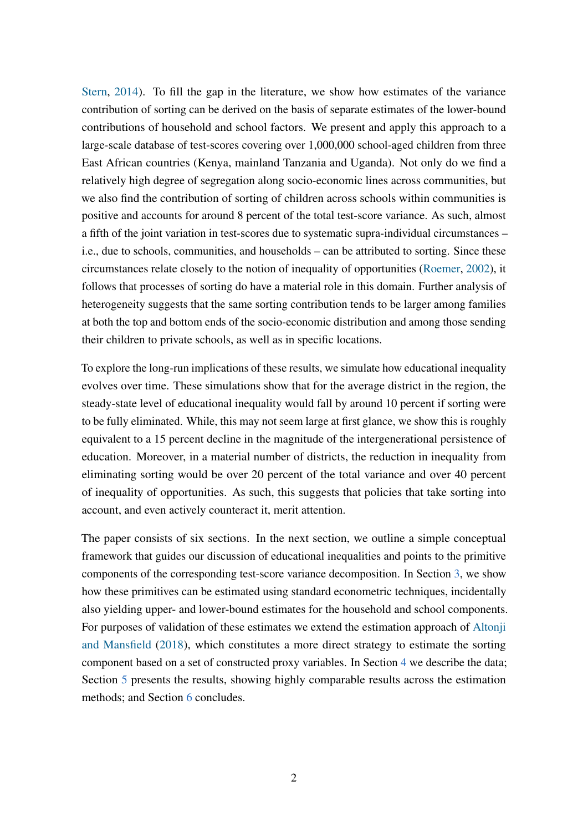[Stern,](#page-32-4) [2014\)](#page-32-4). To fill the gap in the literature, we show how estimates of the variance contribution of sorting can be derived on the basis of separate estimates of the lower-bound contributions of household and school factors. We present and apply this approach to a large-scale database of test-scores covering over 1,000,000 school-aged children from three East African countries (Kenya, mainland Tanzania and Uganda). Not only do we find a relatively high degree of segregation along socio-economic lines across communities, but we also find the contribution of sorting of children across schools within communities is positive and accounts for around 8 percent of the total test-score variance. As such, almost a fifth of the joint variation in test-scores due to systematic supra-individual circumstances – i.e., due to schools, communities, and households – can be attributed to sorting. Since these circumstances relate closely to the notion of inequality of opportunities [\(Roemer,](#page-33-3) [2002\)](#page-33-3), it follows that processes of sorting do have a material role in this domain. Further analysis of heterogeneity suggests that the same sorting contribution tends to be larger among families at both the top and bottom ends of the socio-economic distribution and among those sending their children to private schools, as well as in specific locations.

To explore the long-run implications of these results, we simulate how educational inequality evolves over time. These simulations show that for the average district in the region, the steady-state level of educational inequality would fall by around 10 percent if sorting were to be fully eliminated. While, this may not seem large at first glance, we show this is roughly equivalent to a 15 percent decline in the magnitude of the intergenerational persistence of education. Moreover, in a material number of districts, the reduction in inequality from eliminating sorting would be over 20 percent of the total variance and over 40 percent of inequality of opportunities. As such, this suggests that policies that take sorting into account, and even actively counteract it, merit attention.

The paper consists of six sections. In the next section, we outline a simple conceptual framework that guides our discussion of educational inequalities and points to the primitive components of the corresponding test-score variance decomposition. In Section [3,](#page-7-0) we show how these primitives can be estimated using standard econometric techniques, incidentally also yielding upper- and lower-bound estimates for the household and school components. For purposes of validation of these estimates we extend the estimation approach of [Altonji](#page-30-2) [and Mansfield](#page-30-2) [\(2018\)](#page-30-2), which constitutes a more direct strategy to estimate the sorting component based on a set of constructed proxy variables. In Section [4](#page-10-0) we describe the data; Section [5](#page-15-0) presents the results, showing highly comparable results across the estimation methods; and Section [6](#page-28-0) concludes.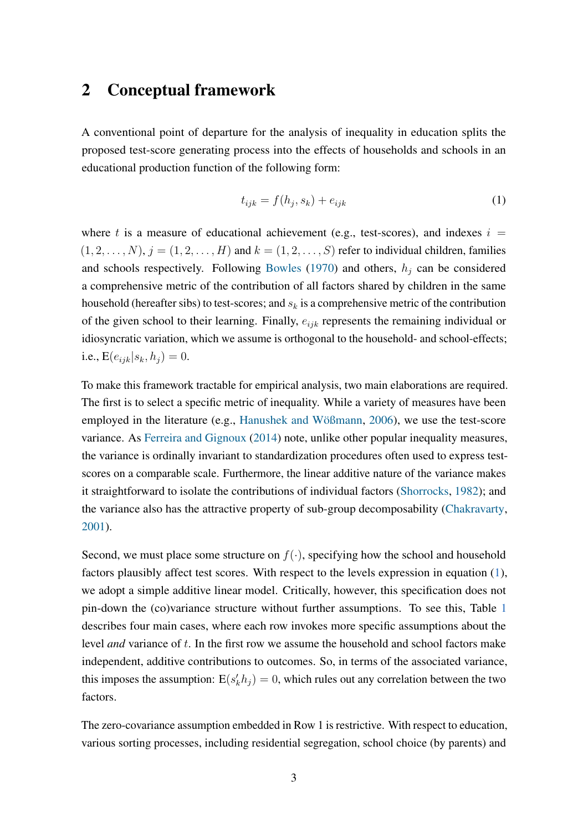### <span id="page-4-1"></span>2 Conceptual framework

A conventional point of departure for the analysis of inequality in education splits the proposed test-score generating process into the effects of households and schools in an educational production function of the following form:

<span id="page-4-0"></span>
$$
t_{ijk} = f(h_j, s_k) + e_{ijk} \tag{1}
$$

where t is a measure of educational achievement (e.g., test-scores), and indexes  $i =$  $(1, 2, \ldots, N), j = (1, 2, \ldots, H)$  and  $k = (1, 2, \ldots, S)$  refer to individual children, families and schools respectively. Following [Bowles](#page-30-0) [\(1970\)](#page-30-0) and others,  $h_j$  can be considered a comprehensive metric of the contribution of all factors shared by children in the same household (hereafter sibs) to test-scores; and  $s_k$  is a comprehensive metric of the contribution of the given school to their learning. Finally,  $e_{ijk}$  represents the remaining individual or idiosyncratic variation, which we assume is orthogonal to the household- and school-effects; i.e.,  $E(e_{ijk}|s_k, h_i) = 0$ .

To make this framework tractable for empirical analysis, two main elaborations are required. The first is to select a specific metric of inequality. While a variety of measures have been employed in the literature (e.g., [Hanushek and Wößmann,](#page-32-5) [2006\)](#page-32-5), we use the test-score variance. As [Ferreira and Gignoux](#page-31-4) [\(2014\)](#page-31-4) note, unlike other popular inequality measures, the variance is ordinally invariant to standardization procedures often used to express testscores on a comparable scale. Furthermore, the linear additive nature of the variance makes it straightforward to isolate the contributions of individual factors [\(Shorrocks,](#page-33-4) [1982\)](#page-33-4); and the variance also has the attractive property of sub-group decomposability [\(Chakravarty,](#page-30-3) [2001\)](#page-30-3).

Second, we must place some structure on  $f(.)$ , specifying how the school and household factors plausibly affect test scores. With respect to the levels expression in equation [\(1\)](#page-4-0), we adopt a simple additive linear model. Critically, however, this specification does not pin-down the (co)variance structure without further assumptions. To see this, Table [1](#page-5-0) describes four main cases, where each row invokes more specific assumptions about the level *and* variance of t. In the first row we assume the household and school factors make independent, additive contributions to outcomes. So, in terms of the associated variance, this imposes the assumption:  $E(s'_k h_j) = 0$ , which rules out any correlation between the two factors.

The zero-covariance assumption embedded in Row 1 is restrictive. With respect to education, various sorting processes, including residential segregation, school choice (by parents) and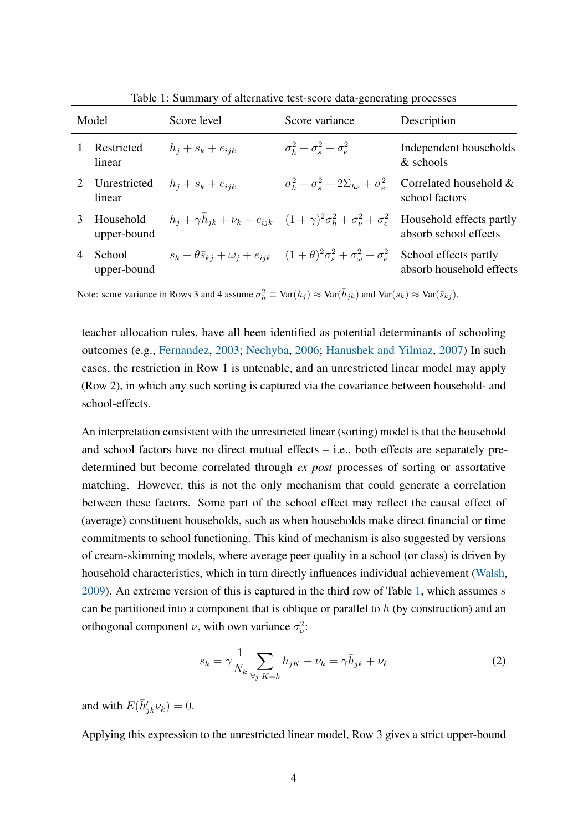| Model |                          | Score level           | Score variance                                                                                                       | Description                                       |  |
|-------|--------------------------|-----------------------|----------------------------------------------------------------------------------------------------------------------|---------------------------------------------------|--|
|       | Restricted<br>linear     | $h_i + s_k + e_{ijk}$ | $\sigma_h^2 + \sigma_s^2 + \sigma_e^2$                                                                               | Independent households<br>& schools               |  |
|       | Unrestricted<br>linear   | $h_i + s_k + e_{ijk}$ | $\sigma_b^2 + \sigma_s^2 + 2\Sigma_{hs} + \sigma_e^2$                                                                | Correlated household &<br>school factors          |  |
| 3     | Household<br>upper-bound |                       | $h_i + \gamma h_{ik} + \nu_k + e_{ijk}$ $(1 + \gamma)^2 \sigma_h^2 + \sigma_v^2 + \sigma_e^2$                        | Household effects partly<br>absorb school effects |  |
|       | School<br>upper-bound    |                       | $s_k + \theta \bar{s}_{kj} + \omega_j + e_{ijk}$ $(1+\theta)^2 \sigma_s^2 + \sigma_{\omega}^2 + \sigma_{\epsilon}^2$ | School effects partly<br>absorb household effects |  |

<span id="page-5-0"></span>Table 1: Summary of alternative test-score data-generating processes

Note: score variance in Rows 3 and 4 assume  $\sigma_h^2 \equiv \text{Var}(h_j) \approx \text{Var}(\bar{h}_{jk})$  and  $\text{Var}(s_k) \approx \text{Var}(\bar{s}_{kj})$ .

teacher allocation rules, have all been identified as potential determinants of schooling outcomes (e.g., [Fernandez,](#page-31-2) [2003;](#page-31-2) [Nechyba,](#page-33-0) [2006;](#page-33-0) [Hanushek and Yilmaz,](#page-32-6) [2007\)](#page-32-6) In such cases, the restriction in Row 1 is untenable, and an unrestricted linear model may apply (Row 2), in which any such sorting is captured via the covariance between household- and school-effects.

An interpretation consistent with the unrestricted linear (sorting) model is that the household and school factors have no direct mutual effects – i.e., both effects are separately predetermined but become correlated through *ex post* processes of sorting or assortative matching. However, this is not the only mechanism that could generate a correlation between these factors. Some part of the school effect may reflect the causal effect of (average) constituent households, such as when households make direct financial or time commitments to school functioning. This kind of mechanism is also suggested by versions of cream-skimming models, where average peer quality in a school (or class) is driven by household characteristics, which in turn directly influences individual achievement [\(Walsh,](#page-34-1) [2009\)](#page-34-1). An extreme version of this is captured in the third row of Table [1,](#page-5-0) which assumes  $s$ can be partitioned into a component that is oblique or parallel to  $h$  (by construction) and an orthogonal component  $\nu$ , with own variance  $\sigma_{\nu}^2$ :

<span id="page-5-1"></span>
$$
s_k = \gamma \frac{1}{N_k} \sum_{\forall j \mid K = k} h_{jK} + \nu_k = \gamma \bar{h}_{jk} + \nu_k \tag{2}
$$

and with  $E(\bar{h}'_{jk}\nu_k) = 0$ .

Applying this expression to the unrestricted linear model, Row 3 gives a strict upper-bound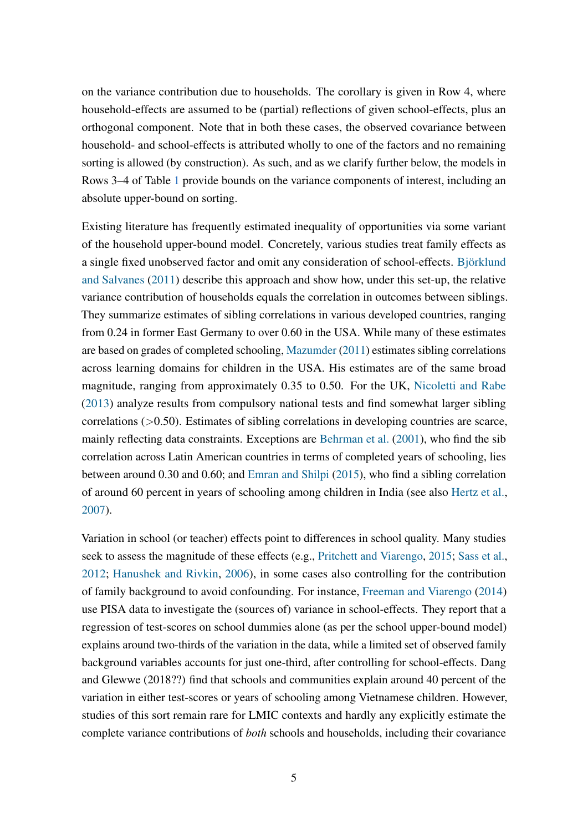on the variance contribution due to households. The corollary is given in Row 4, where household-effects are assumed to be (partial) reflections of given school-effects, plus an orthogonal component. Note that in both these cases, the observed covariance between household- and school-effects is attributed wholly to one of the factors and no remaining sorting is allowed (by construction). As such, and as we clarify further below, the models in Rows 3–4 of Table [1](#page-5-0) provide bounds on the variance components of interest, including an absolute upper-bound on sorting.

Existing literature has frequently estimated inequality of opportunities via some variant of the household upper-bound model. Concretely, various studies treat family effects as a single fixed unobserved factor and omit any consideration of school-effects. [Björklund](#page-30-1) [and Salvanes](#page-30-1) [\(2011\)](#page-30-1) describe this approach and show how, under this set-up, the relative variance contribution of households equals the correlation in outcomes between siblings. They summarize estimates of sibling correlations in various developed countries, ranging from 0.24 in former East Germany to over 0.60 in the USA. While many of these estimates are based on grades of completed schooling, [Mazumder](#page-32-7) [\(2011\)](#page-32-7) estimates sibling correlations across learning domains for children in the USA. His estimates are of the same broad magnitude, ranging from approximately 0.35 to 0.50. For the UK, [Nicoletti and Rabe](#page-33-5) [\(2013\)](#page-33-5) analyze results from compulsory national tests and find somewhat larger sibling correlations (>0.50). Estimates of sibling correlations in developing countries are scarce, mainly reflecting data constraints. Exceptions are [Behrman et al.](#page-30-4) [\(2001\)](#page-30-4), who find the sib correlation across Latin American countries in terms of completed years of schooling, lies between around 0.30 and 0.60; and [Emran and Shilpi](#page-31-5) [\(2015\)](#page-31-5), who find a sibling correlation of around 60 percent in years of schooling among children in India (see also [Hertz et al.,](#page-32-8) [2007\)](#page-32-8).

Variation in school (or teacher) effects point to differences in school quality. Many studies seek to assess the magnitude of these effects (e.g., [Pritchett and Viarengo,](#page-33-6) [2015;](#page-33-6) [Sass et al.,](#page-33-1) [2012;](#page-33-1) [Hanushek and Rivkin,](#page-31-6) [2006\)](#page-31-6), in some cases also controlling for the contribution of family background to avoid confounding. For instance, [Freeman and Viarengo](#page-31-7) [\(2014\)](#page-31-7) use PISA data to investigate the (sources of) variance in school-effects. They report that a regression of test-scores on school dummies alone (as per the school upper-bound model) explains around two-thirds of the variation in the data, while a limited set of observed family background variables accounts for just one-third, after controlling for school-effects. Dang and Glewwe (2018??) find that schools and communities explain around 40 percent of the variation in either test-scores or years of schooling among Vietnamese children. However, studies of this sort remain rare for LMIC contexts and hardly any explicitly estimate the complete variance contributions of *both* schools and households, including their covariance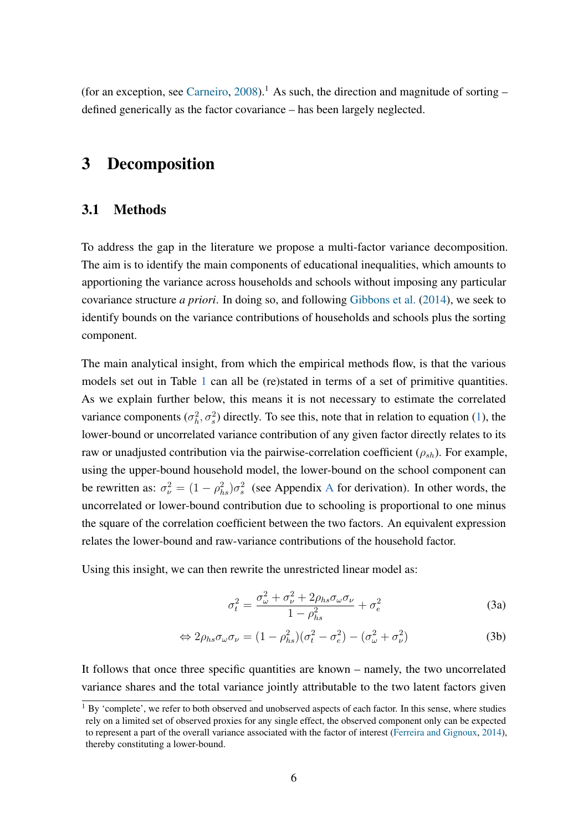(for an exception, see [Carneiro,](#page-30-5)  $2008$ ).<sup>1</sup> As such, the direction and magnitude of sorting – defined generically as the factor covariance – has been largely neglected.

# <span id="page-7-0"></span>3 Decomposition

#### 3.1 Methods

To address the gap in the literature we propose a multi-factor variance decomposition. The aim is to identify the main components of educational inequalities, which amounts to apportioning the variance across households and schools without imposing any particular covariance structure *a priori*. In doing so, and following [Gibbons et al.](#page-31-8) [\(2014\)](#page-31-8), we seek to identify bounds on the variance contributions of households and schools plus the sorting component.

The main analytical insight, from which the empirical methods flow, is that the various models set out in Table [1](#page-5-0) can all be (re)stated in terms of a set of primitive quantities. As we explain further below, this means it is not necessary to estimate the correlated variance components  $(\sigma_h^2, \sigma_s^2)$  directly. To see this, note that in relation to equation [\(1\)](#page-4-0), the lower-bound or uncorrelated variance contribution of any given factor directly relates to its raw or unadjusted contribution via the pairwise-correlation coefficient  $(\rho_{sh})$ . For example, using the upper-bound household model, the lower-bound on the school component can be rewritten as:  $\sigma_{\nu}^2 = (1 - \rho_{hs}^2)\sigma_s^2$  (see [A](#page-36-0)ppendix A for derivation). In other words, the uncorrelated or lower-bound contribution due to schooling is proportional to one minus the square of the correlation coefficient between the two factors. An equivalent expression relates the lower-bound and raw-variance contributions of the household factor.

Using this insight, we can then rewrite the unrestricted linear model as:

<span id="page-7-1"></span>
$$
\sigma_t^2 = \frac{\sigma_\omega^2 + \sigma_\nu^2 + 2\rho_{hs}\sigma_\omega\sigma_\nu}{1 - \rho_{hs}^2} + \sigma_e^2
$$
\n(3a)

$$
\Leftrightarrow 2\rho_{hs}\sigma_{\omega}\sigma_{\nu} = (1 - \rho_{hs}^2)(\sigma_t^2 - \sigma_e^2) - (\sigma_{\omega}^2 + \sigma_{\nu}^2)
$$
 (3b)

It follows that once three specific quantities are known – namely, the two uncorrelated variance shares and the total variance jointly attributable to the two latent factors given

<sup>&</sup>lt;sup>1</sup> By 'complete', we refer to both observed and unobserved aspects of each factor. In this sense, where studies rely on a limited set of observed proxies for any single effect, the observed component only can be expected to represent a part of the overall variance associated with the factor of interest [\(Ferreira and Gignoux,](#page-31-4) [2014\)](#page-31-4), thereby constituting a lower-bound.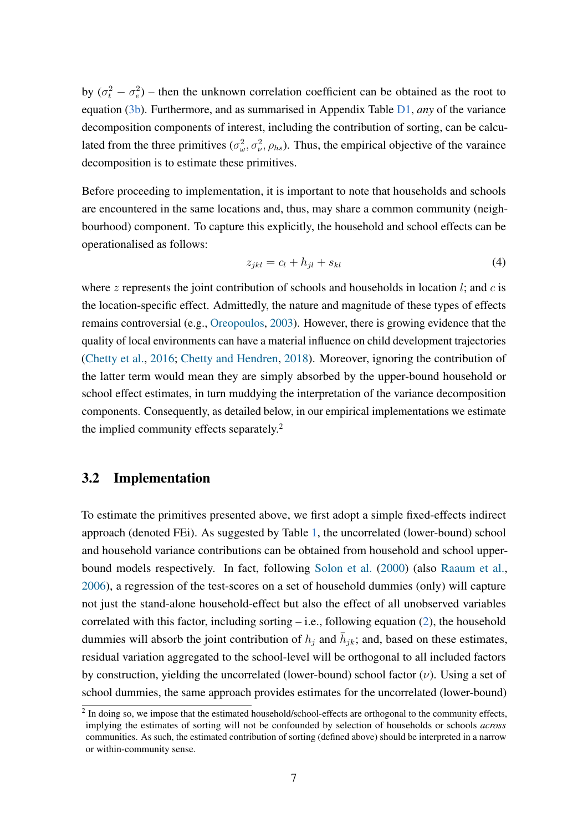by  $(\sigma_t^2 - \sigma_e^2)$  – then the unknown correlation coefficient can be obtained as the root to equation [\(3b\)](#page-7-1). Furthermore, and as summarised in Appendix Table [D1,](#page-40-0) *any* of the variance decomposition components of interest, including the contribution of sorting, can be calculated from the three primitives  $(\sigma_{\omega}^2, \sigma_{\nu}^2, \rho_{hs})$ . Thus, the empirical objective of the varaince decomposition is to estimate these primitives.

Before proceeding to implementation, it is important to note that households and schools are encountered in the same locations and, thus, may share a common community (neighbourhood) component. To capture this explicitly, the household and school effects can be operationalised as follows:

<span id="page-8-0"></span>
$$
z_{jkl} = c_l + h_{jl} + s_{kl} \tag{4}
$$

where z represents the joint contribution of schools and households in location  $l$ ; and  $c$  is the location-specific effect. Admittedly, the nature and magnitude of these types of effects remains controversial (e.g., [Oreopoulos,](#page-33-7) [2003\)](#page-33-7). However, there is growing evidence that the quality of local environments can have a material influence on child development trajectories [\(Chetty et al.,](#page-31-9) [2016;](#page-31-9) [Chetty and Hendren,](#page-30-6) [2018\)](#page-30-6). Moreover, ignoring the contribution of the latter term would mean they are simply absorbed by the upper-bound household or school effect estimates, in turn muddying the interpretation of the variance decomposition components. Consequently, as detailed below, in our empirical implementations we estimate the implied community effects separately.<sup>2</sup>

#### 3.2 Implementation

To estimate the primitives presented above, we first adopt a simple fixed-effects indirect approach (denoted FEi). As suggested by Table [1,](#page-5-0) the uncorrelated (lower-bound) school and household variance contributions can be obtained from household and school upperbound models respectively. In fact, following [Solon et al.](#page-33-8) [\(2000\)](#page-33-8) (also [Raaum et al.,](#page-33-9) [2006\)](#page-33-9), a regression of the test-scores on a set of household dummies (only) will capture not just the stand-alone household-effect but also the effect of all unobserved variables correlated with this factor, including sorting  $-$  i.e., following equation [\(2\)](#page-5-1), the household dummies will absorb the joint contribution of  $h_j$  and  $\bar{h}_{jk}$ ; and, based on these estimates, residual variation aggregated to the school-level will be orthogonal to all included factors by construction, yielding the uncorrelated (lower-bound) school factor  $(\nu)$ . Using a set of school dummies, the same approach provides estimates for the uncorrelated (lower-bound)

 $2$  In doing so, we impose that the estimated household/school-effects are orthogonal to the community effects, implying the estimates of sorting will not be confounded by selection of households or schools *across* communities. As such, the estimated contribution of sorting (defined above) should be interpreted in a narrow or within-community sense.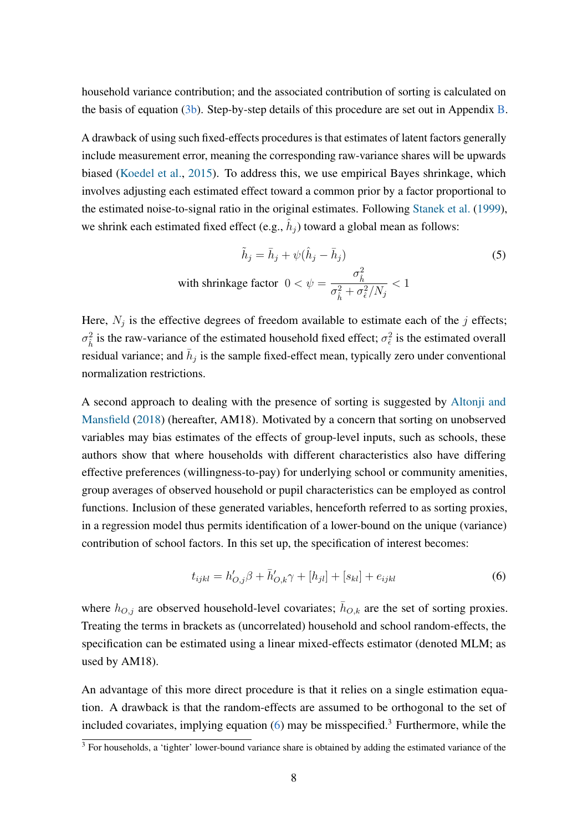household variance contribution; and the associated contribution of sorting is calculated on the basis of equation [\(3b\)](#page-7-1). Step-by-step details of this procedure are set out in Appendix [B.](#page-37-0)

A drawback of using such fixed-effects procedures is that estimates of latent factors generally include measurement error, meaning the corresponding raw-variance shares will be upwards biased [\(Koedel et al.,](#page-32-9) [2015\)](#page-32-9). To address this, we use empirical Bayes shrinkage, which involves adjusting each estimated effect toward a common prior by a factor proportional to the estimated noise-to-signal ratio in the original estimates. Following [Stanek et al.](#page-33-10) [\(1999\)](#page-33-10), we shrink each estimated fixed effect (e.g.,  $\hat{h}_j$ ) toward a global mean as follows:

$$
\tilde{h}_j = \bar{h}_j + \psi(\hat{h}_j - \bar{h}_j)
$$
\nwith shrinkage factor

\n
$$
0 < \psi = \frac{\sigma_h^2}{\sigma_h^2 + \sigma_e^2/N_j} < 1
$$
\n(5)

Here,  $N_j$  is the effective degrees of freedom available to estimate each of the j effects;  $\sigma_{\hat{h}}^2$  is the raw-variance of the estimated household fixed effect;  $\sigma_{\hat{\epsilon}}^2$  is the estimated overall residual variance; and  $\bar{h}_j$  is the sample fixed-effect mean, typically zero under conventional normalization restrictions.

A second approach to dealing with the presence of sorting is suggested by [Altonji and](#page-30-2) [Mansfield](#page-30-2) [\(2018\)](#page-30-2) (hereafter, AM18). Motivated by a concern that sorting on unobserved variables may bias estimates of the effects of group-level inputs, such as schools, these authors show that where households with different characteristics also have differing effective preferences (willingness-to-pay) for underlying school or community amenities, group averages of observed household or pupil characteristics can be employed as control functions. Inclusion of these generated variables, henceforth referred to as sorting proxies, in a regression model thus permits identification of a lower-bound on the unique (variance) contribution of school factors. In this set up, the specification of interest becomes:

<span id="page-9-0"></span>
$$
t_{ijkl} = h'_{O,j}\beta + \bar{h}'_{O,k}\gamma + [h_{jl}] + [s_{kl}] + e_{ijkl}
$$
\n(6)

where  $h_{O,j}$  are observed household-level covariates;  $\bar{h}_{O,k}$  are the set of sorting proxies. Treating the terms in brackets as (uncorrelated) household and school random-effects, the specification can be estimated using a linear mixed-effects estimator (denoted MLM; as used by AM18).

An advantage of this more direct procedure is that it relies on a single estimation equation. A drawback is that the random-effects are assumed to be orthogonal to the set of included covariates, implying equation  $(6)$  may be misspecified.<sup>3</sup> Furthermore, while the

 $\frac{3}{3}$  For households, a 'tighter' lower-bound variance share is obtained by adding the estimated variance of the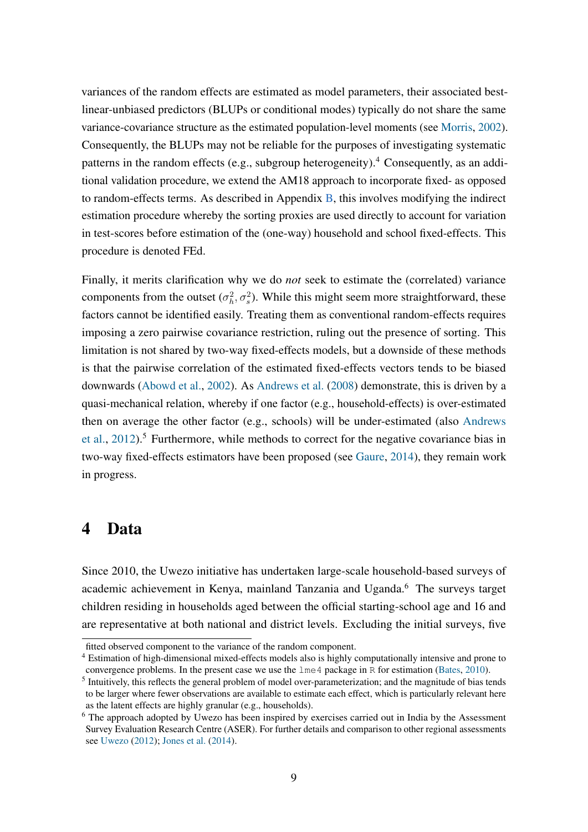variances of the random effects are estimated as model parameters, their associated bestlinear-unbiased predictors (BLUPs or conditional modes) typically do not share the same variance-covariance structure as the estimated population-level moments (see [Morris,](#page-33-11) [2002\)](#page-33-11). Consequently, the BLUPs may not be reliable for the purposes of investigating systematic patterns in the random effects (e.g., subgroup heterogeneity).<sup>4</sup> Consequently, as an additional validation procedure, we extend the AM18 approach to incorporate fixed- as opposed to random-effects terms. As described in Appendix  $\overline{B}$ , this involves modifying the indirect estimation procedure whereby the sorting proxies are used directly to account for variation in test-scores before estimation of the (one-way) household and school fixed-effects. This procedure is denoted FEd.

Finally, it merits clarification why we do *not* seek to estimate the (correlated) variance components from the outset  $(\sigma_h^2, \sigma_s^2)$ . While this might seem more straightforward, these factors cannot be identified easily. Treating them as conventional random-effects requires imposing a zero pairwise covariance restriction, ruling out the presence of sorting. This limitation is not shared by two-way fixed-effects models, but a downside of these methods is that the pairwise correlation of the estimated fixed-effects vectors tends to be biased downwards [\(Abowd et al.,](#page-30-7) [2002\)](#page-30-7). As [Andrews et al.](#page-30-8) [\(2008\)](#page-30-8) demonstrate, this is driven by a quasi-mechanical relation, whereby if one factor (e.g., household-effects) is over-estimated then on average the other factor (e.g., schools) will be under-estimated (also [Andrews](#page-30-9) [et al.,](#page-30-9)  $2012$ ).<sup>5</sup> Furthermore, while methods to correct for the negative covariance bias in two-way fixed-effects estimators have been proposed (see [Gaure,](#page-31-10) [2014\)](#page-31-10), they remain work in progress.

#### <span id="page-10-0"></span>4 Data

Since 2010, the Uwezo initiative has undertaken large-scale household-based surveys of academic achievement in Kenya, mainland Tanzania and Uganda.<sup>6</sup> The surveys target children residing in households aged between the official starting-school age and 16 and are representative at both national and district levels. Excluding the initial surveys, five

fitted observed component to the variance of the random component.

<sup>4</sup> Estimation of high-dimensional mixed-effects models also is highly computationally intensive and prone to convergence problems. In the present case we use the lme4 package in R for estimation [\(Bates,](#page-30-10) [2010\)](#page-30-10).

<sup>&</sup>lt;sup>5</sup> Intuitively, this reflects the general problem of model over-parameterization; and the magnitude of bias tends to be larger where fewer observations are available to estimate each effect, which is particularly relevant here as the latent effects are highly granular (e.g., households).

<sup>6</sup> The approach adopted by Uwezo has been inspired by exercises carried out in India by the Assessment Survey Evaluation Research Centre (ASER). For further details and comparison to other regional assessments see [Uwezo](#page-33-12) [\(2012\)](#page-33-12); [Jones et al.](#page-32-10) [\(2014\)](#page-32-10).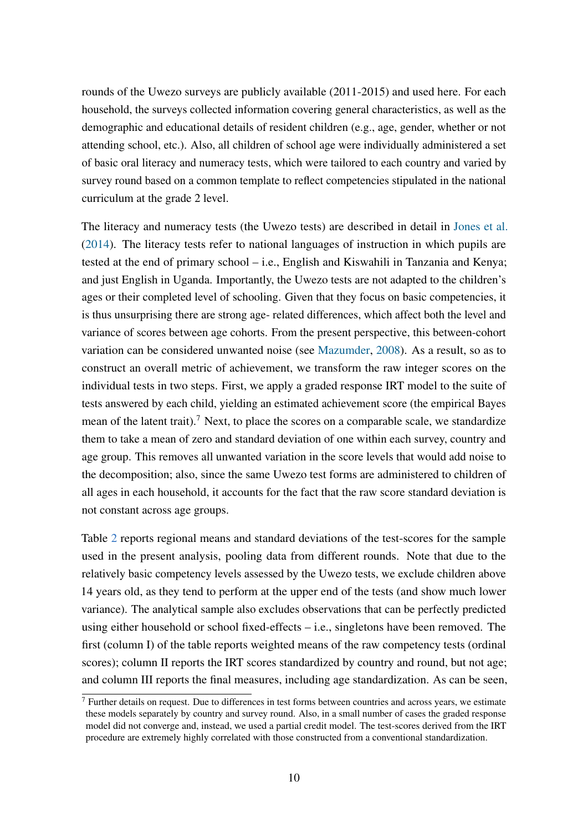rounds of the Uwezo surveys are publicly available (2011-2015) and used here. For each household, the surveys collected information covering general characteristics, as well as the demographic and educational details of resident children (e.g., age, gender, whether or not attending school, etc.). Also, all children of school age were individually administered a set of basic oral literacy and numeracy tests, which were tailored to each country and varied by survey round based on a common template to reflect competencies stipulated in the national curriculum at the grade 2 level.

The literacy and numeracy tests (the Uwezo tests) are described in detail in [Jones et al.](#page-32-10) [\(2014\)](#page-32-10). The literacy tests refer to national languages of instruction in which pupils are tested at the end of primary school – i.e., English and Kiswahili in Tanzania and Kenya; and just English in Uganda. Importantly, the Uwezo tests are not adapted to the children's ages or their completed level of schooling. Given that they focus on basic competencies, it is thus unsurprising there are strong age- related differences, which affect both the level and variance of scores between age cohorts. From the present perspective, this between-cohort variation can be considered unwanted noise (see [Mazumder,](#page-32-11) [2008\)](#page-32-11). As a result, so as to construct an overall metric of achievement, we transform the raw integer scores on the individual tests in two steps. First, we apply a graded response IRT model to the suite of tests answered by each child, yielding an estimated achievement score (the empirical Bayes mean of the latent trait).<sup>7</sup> Next, to place the scores on a comparable scale, we standardize them to take a mean of zero and standard deviation of one within each survey, country and age group. This removes all unwanted variation in the score levels that would add noise to the decomposition; also, since the same Uwezo test forms are administered to children of all ages in each household, it accounts for the fact that the raw score standard deviation is not constant across age groups.

Table [2](#page-13-0) reports regional means and standard deviations of the test-scores for the sample used in the present analysis, pooling data from different rounds. Note that due to the relatively basic competency levels assessed by the Uwezo tests, we exclude children above 14 years old, as they tend to perform at the upper end of the tests (and show much lower variance). The analytical sample also excludes observations that can be perfectly predicted using either household or school fixed-effects – i.e., singletons have been removed. The first (column I) of the table reports weighted means of the raw competency tests (ordinal scores); column II reports the IRT scores standardized by country and round, but not age; and column III reports the final measures, including age standardization. As can be seen,

<sup>&</sup>lt;sup>7</sup> Further details on request. Due to differences in test forms between countries and across years, we estimate these models separately by country and survey round. Also, in a small number of cases the graded response model did not converge and, instead, we used a partial credit model. The test-scores derived from the IRT procedure are extremely highly correlated with those constructed from a conventional standardization.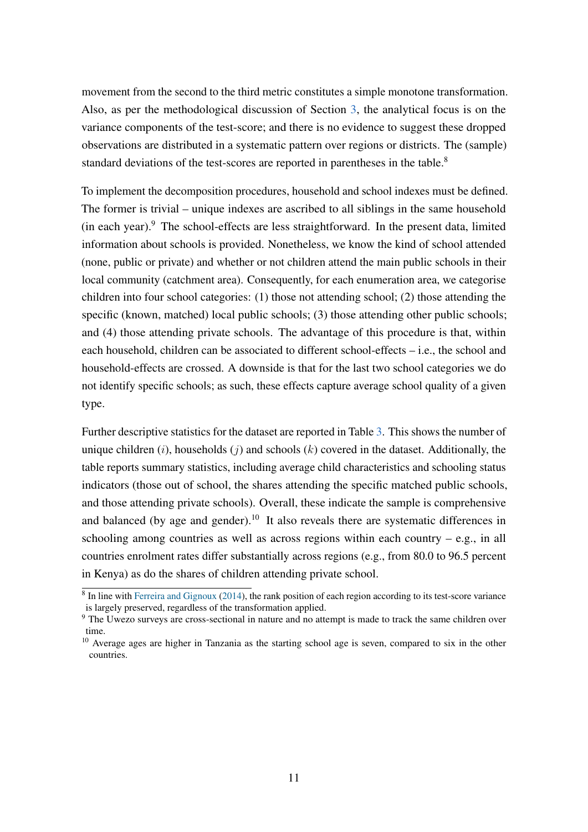movement from the second to the third metric constitutes a simple monotone transformation. Also, as per the methodological discussion of Section [3,](#page-7-0) the analytical focus is on the variance components of the test-score; and there is no evidence to suggest these dropped observations are distributed in a systematic pattern over regions or districts. The (sample) standard deviations of the test-scores are reported in parentheses in the table.<sup>8</sup>

To implement the decomposition procedures, household and school indexes must be defined. The former is trivial – unique indexes are ascribed to all siblings in the same household (in each year).<sup>9</sup> The school-effects are less straightforward. In the present data, limited information about schools is provided. Nonetheless, we know the kind of school attended (none, public or private) and whether or not children attend the main public schools in their local community (catchment area). Consequently, for each enumeration area, we categorise children into four school categories: (1) those not attending school; (2) those attending the specific (known, matched) local public schools; (3) those attending other public schools; and (4) those attending private schools. The advantage of this procedure is that, within each household, children can be associated to different school-effects – i.e., the school and household-effects are crossed. A downside is that for the last two school categories we do not identify specific schools; as such, these effects capture average school quality of a given type.

Further descriptive statistics for the dataset are reported in Table [3.](#page-14-0) This shows the number of unique children  $(i)$ , households  $(j)$  and schools  $(k)$  covered in the dataset. Additionally, the table reports summary statistics, including average child characteristics and schooling status indicators (those out of school, the shares attending the specific matched public schools, and those attending private schools). Overall, these indicate the sample is comprehensive and balanced (by age and gender).<sup>10</sup> It also reveals there are systematic differences in schooling among countries as well as across regions within each country  $-$  e.g., in all countries enrolment rates differ substantially across regions (e.g., from 80.0 to 96.5 percent in Kenya) as do the shares of children attending private school.

<sup>&</sup>lt;sup>8</sup> In line with [Ferreira and Gignoux](#page-31-4) [\(2014\)](#page-31-4), the rank position of each region according to its test-score variance is largely preserved, regardless of the transformation applied.

<sup>9</sup> The Uwezo surveys are cross-sectional in nature and no attempt is made to track the same children over time.

<sup>&</sup>lt;sup>10</sup> Average ages are higher in Tanzania as the starting school age is seven, compared to six in the other countries.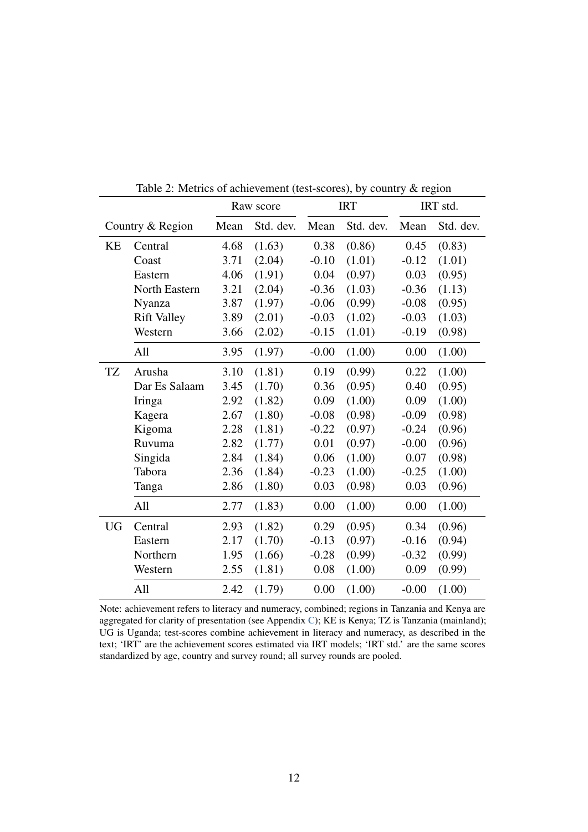|           |                    | Raw score |           |         | <b>IRT</b> | IRT std. |           |  |
|-----------|--------------------|-----------|-----------|---------|------------|----------|-----------|--|
|           | Country & Region   | Mean      | Std. dev. | Mean    | Std. dev.  | Mean     | Std. dev. |  |
| KE        | Central            | 4.68      | (1.63)    | 0.38    | (0.86)     | 0.45     | (0.83)    |  |
|           | Coast              | 3.71      | (2.04)    | $-0.10$ | (1.01)     | $-0.12$  | (1.01)    |  |
|           | Eastern            | 4.06      | (1.91)    | 0.04    | (0.97)     | 0.03     | (0.95)    |  |
|           | North Eastern      | 3.21      | (2.04)    | $-0.36$ | (1.03)     | $-0.36$  | (1.13)    |  |
|           | Nyanza             | 3.87      | (1.97)    | $-0.06$ | (0.99)     | $-0.08$  | (0.95)    |  |
|           | <b>Rift Valley</b> | 3.89      | (2.01)    | $-0.03$ | (1.02)     | $-0.03$  | (1.03)    |  |
|           | Western            | 3.66      | (2.02)    | $-0.15$ | (1.01)     | $-0.19$  | (0.98)    |  |
|           | All                | 3.95      | (1.97)    | $-0.00$ | (1.00)     | 0.00     | (1.00)    |  |
| TZ        | Arusha             | 3.10      | (1.81)    | 0.19    | (0.99)     | 0.22     | (1.00)    |  |
|           | Dar Es Salaam      | 3.45      | (1.70)    | 0.36    | (0.95)     | 0.40     | (0.95)    |  |
|           | Iringa             | 2.92      | (1.82)    | 0.09    | (1.00)     | 0.09     | (1.00)    |  |
|           | Kagera             | 2.67      | (1.80)    | $-0.08$ | (0.98)     | $-0.09$  | (0.98)    |  |
|           | Kigoma             | 2.28      | (1.81)    | $-0.22$ | (0.97)     | $-0.24$  | (0.96)    |  |
|           | Ruvuma             | 2.82      | (1.77)    | 0.01    | (0.97)     | $-0.00$  | (0.96)    |  |
|           | Singida            | 2.84      | (1.84)    | 0.06    | (1.00)     | 0.07     | (0.98)    |  |
|           | Tabora             | 2.36      | (1.84)    | $-0.23$ | (1.00)     | $-0.25$  | (1.00)    |  |
|           | Tanga              | 2.86      | (1.80)    | 0.03    | (0.98)     | 0.03     | (0.96)    |  |
|           | All                | 2.77      | (1.83)    | 0.00    | (1.00)     | 0.00     | (1.00)    |  |
| <b>UG</b> | Central            | 2.93      | (1.82)    | 0.29    | (0.95)     | 0.34     | (0.96)    |  |
|           | Eastern            | 2.17      | (1.70)    | $-0.13$ | (0.97)     | $-0.16$  | (0.94)    |  |
|           | Northern           | 1.95      | (1.66)    | $-0.28$ | (0.99)     | $-0.32$  | (0.99)    |  |
|           | Western            | 2.55      | (1.81)    | 0.08    | (1.00)     | 0.09     | (0.99)    |  |
|           | All                | 2.42      | (1.79)    | 0.00    | (1.00)     | $-0.00$  | (1.00)    |  |

<span id="page-13-0"></span>Table 2: Metrics of achievement (test-scores), by country & region

Note: achievement refers to literacy and numeracy, combined; regions in Tanzania and Kenya are aggregated for clarity of presentation (see Appendix [C\)](#page-39-0); KE is Kenya; TZ is Tanzania (mainland); UG is Uganda; test-scores combine achievement in literacy and numeracy, as described in the text; 'IRT' are the achievement scores estimated via IRT models; 'IRT std.' are the same scores standardized by age, country and survey round; all survey rounds are pooled.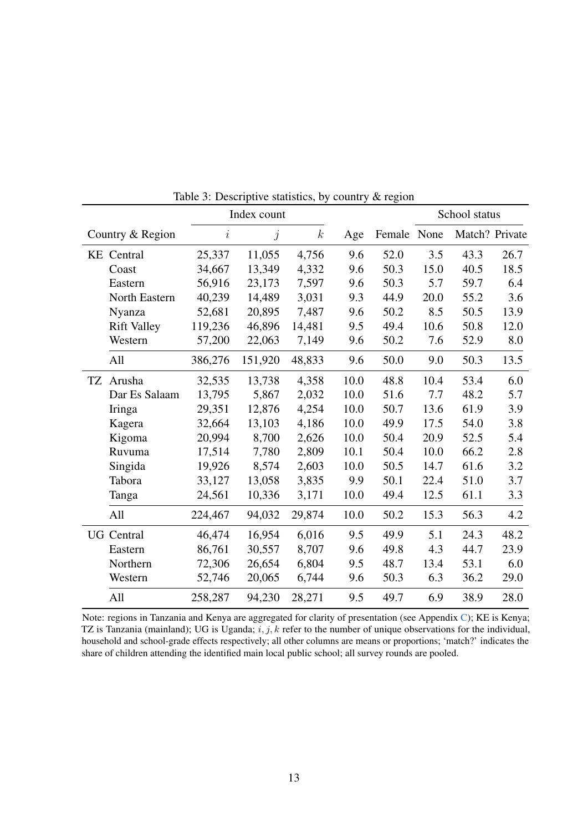|                    |         | Index count |                  |      | School status |      |                |      |
|--------------------|---------|-------------|------------------|------|---------------|------|----------------|------|
| Country & Region   | i       | j           | $\boldsymbol{k}$ | Age  | Female None   |      | Match? Private |      |
| <b>KE</b> Central  | 25,337  | 11,055      | 4,756            | 9.6  | 52.0          | 3.5  | 43.3           | 26.7 |
| Coast              | 34,667  | 13,349      | 4,332            | 9.6  | 50.3          | 15.0 | 40.5           | 18.5 |
| Eastern            | 56,916  | 23,173      | 7,597            | 9.6  | 50.3          | 5.7  | 59.7           | 6.4  |
| North Eastern      | 40,239  | 14,489      | 3,031            | 9.3  | 44.9          | 20.0 | 55.2           | 3.6  |
| Nyanza             | 52,681  | 20,895      | 7,487            | 9.6  | 50.2          | 8.5  | 50.5           | 13.9 |
| <b>Rift Valley</b> | 119,236 | 46,896      | 14,481           | 9.5  | 49.4          | 10.6 | 50.8           | 12.0 |
| Western            | 57,200  | 22,063      | 7,149            | 9.6  | 50.2          | 7.6  | 52.9           | 8.0  |
| All                | 386,276 | 151,920     | 48,833           | 9.6  | 50.0          | 9.0  | 50.3           | 13.5 |
| TZ Arusha          | 32,535  | 13,738      | 4,358            | 10.0 | 48.8          | 10.4 | 53.4           | 6.0  |
| Dar Es Salaam      | 13,795  | 5,867       | 2,032            | 10.0 | 51.6          | 7.7  | 48.2           | 5.7  |
| Iringa             | 29,351  | 12,876      | 4,254            | 10.0 | 50.7          | 13.6 | 61.9           | 3.9  |
| Kagera             | 32,664  | 13,103      | 4,186            | 10.0 | 49.9          | 17.5 | 54.0           | 3.8  |
| Kigoma             | 20,994  | 8,700       | 2,626            | 10.0 | 50.4          | 20.9 | 52.5           | 5.4  |
| Ruvuma             | 17,514  | 7,780       | 2,809            | 10.1 | 50.4          | 10.0 | 66.2           | 2.8  |
| Singida            | 19,926  | 8,574       | 2,603            | 10.0 | 50.5          | 14.7 | 61.6           | 3.2  |
| Tabora             | 33,127  | 13,058      | 3,835            | 9.9  | 50.1          | 22.4 | 51.0           | 3.7  |
| Tanga              | 24,561  | 10,336      | 3,171            | 10.0 | 49.4          | 12.5 | 61.1           | 3.3  |
| All                | 224,467 | 94,032      | 29,874           | 10.0 | 50.2          | 15.3 | 56.3           | 4.2  |
| <b>UG</b> Central  | 46,474  | 16,954      | 6,016            | 9.5  | 49.9          | 5.1  | 24.3           | 48.2 |
| Eastern            | 86,761  | 30,557      | 8,707            | 9.6  | 49.8          | 4.3  | 44.7           | 23.9 |
| Northern           | 72,306  | 26,654      | 6,804            | 9.5  | 48.7          | 13.4 | 53.1           | 6.0  |
| Western            | 52,746  | 20,065      | 6,744            | 9.6  | 50.3          | 6.3  | 36.2           | 29.0 |
| All                | 258,287 | 94,230      | 28,271           | 9.5  | 49.7          | 6.9  | 38.9           | 28.0 |

<span id="page-14-0"></span>Table 3: Descriptive statistics, by country & region

Note: regions in Tanzania and Kenya are aggregated for clarity of presentation (see Appendix [C\)](#page-39-0); KE is Kenya; TZ is Tanzania (mainland); UG is Uganda;  $i, j, k$  refer to the number of unique observations for the individual, household and school-grade effects respectively; all other columns are means or proportions; 'match?' indicates the share of children attending the identified main local public school; all survey rounds are pooled.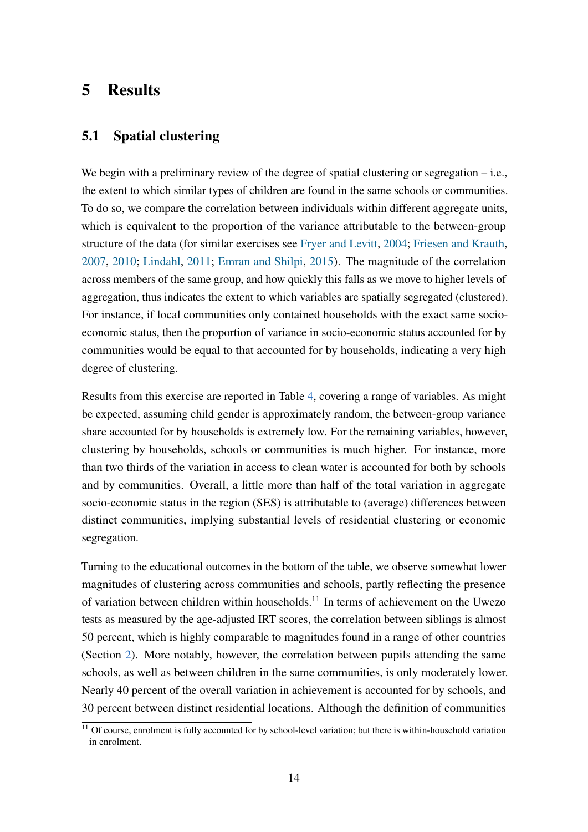### <span id="page-15-0"></span>5 Results

#### 5.1 Spatial clustering

We begin with a preliminary review of the degree of spatial clustering or segregation – i.e., the extent to which similar types of children are found in the same schools or communities. To do so, we compare the correlation between individuals within different aggregate units, which is equivalent to the proportion of the variance attributable to the between-group structure of the data (for similar exercises see [Fryer and Levitt,](#page-31-11) [2004;](#page-31-11) [Friesen and Krauth,](#page-31-3) [2007,](#page-31-3) [2010;](#page-31-12) [Lindahl,](#page-32-12) [2011;](#page-32-12) [Emran and Shilpi,](#page-31-5) [2015\)](#page-31-5). The magnitude of the correlation across members of the same group, and how quickly this falls as we move to higher levels of aggregation, thus indicates the extent to which variables are spatially segregated (clustered). For instance, if local communities only contained households with the exact same socioeconomic status, then the proportion of variance in socio-economic status accounted for by communities would be equal to that accounted for by households, indicating a very high degree of clustering.

Results from this exercise are reported in Table [4,](#page-16-0) covering a range of variables. As might be expected, assuming child gender is approximately random, the between-group variance share accounted for by households is extremely low. For the remaining variables, however, clustering by households, schools or communities is much higher. For instance, more than two thirds of the variation in access to clean water is accounted for both by schools and by communities. Overall, a little more than half of the total variation in aggregate socio-economic status in the region (SES) is attributable to (average) differences between distinct communities, implying substantial levels of residential clustering or economic segregation.

Turning to the educational outcomes in the bottom of the table, we observe somewhat lower magnitudes of clustering across communities and schools, partly reflecting the presence of variation between children within households.<sup>11</sup> In terms of achievement on the Uwezo tests as measured by the age-adjusted IRT scores, the correlation between siblings is almost 50 percent, which is highly comparable to magnitudes found in a range of other countries (Section [2\)](#page-4-1). More notably, however, the correlation between pupils attending the same schools, as well as between children in the same communities, is only moderately lower. Nearly 40 percent of the overall variation in achievement is accounted for by schools, and 30 percent between distinct residential locations. Although the definition of communities

 $\frac{11}{11}$  Of course, enrolment is fully accounted for by school-level variation; but there is within-household variation in enrolment.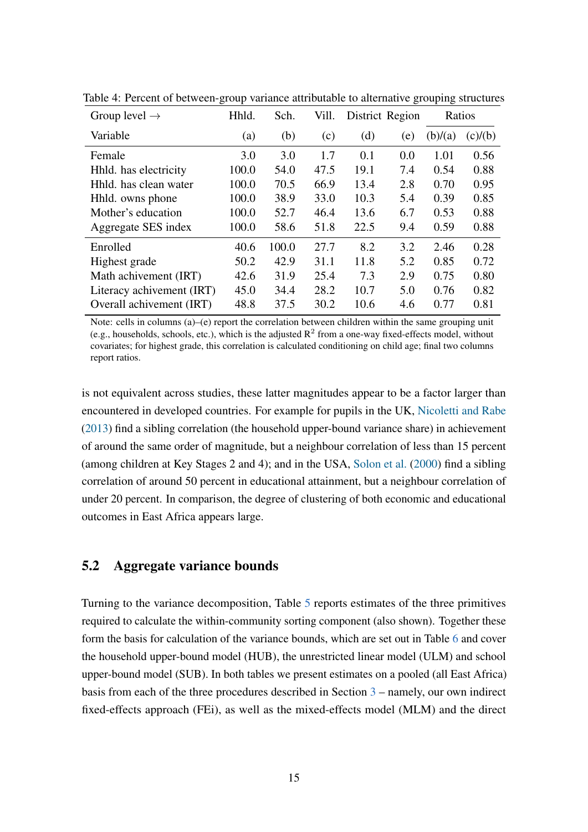| Group level $\rightarrow$ | Hhld. | Sch.  | Vill. | District Region |     | Ratios  |         |
|---------------------------|-------|-------|-------|-----------------|-----|---------|---------|
| Variable                  | (a)   | (b)   | (c)   | (d)             | (e) | (b)/(a) | (c)/(b) |
| Female                    | 3.0   | 3.0   | 1.7   | 0.1             | 0.0 | 1.01    | 0.56    |
| Hhld. has electricity     | 100.0 | 54.0  | 47.5  | 19.1            | 7.4 | 0.54    | 0.88    |
| Hhld. has clean water     | 100.0 | 70.5  | 66.9  | 13.4            | 2.8 | 0.70    | 0.95    |
| Hhld. owns phone          | 100.0 | 38.9  | 33.0  | 10.3            | 5.4 | 0.39    | 0.85    |
| Mother's education        | 100.0 | 52.7  | 46.4  | 13.6            | 6.7 | 0.53    | 0.88    |
| Aggregate SES index       | 100.0 | 58.6  | 51.8  | 22.5            | 9.4 | 0.59    | 0.88    |
| Enrolled                  | 40.6  | 100.0 | 27.7  | 8.2             | 3.2 | 2.46    | 0.28    |
| Highest grade             | 50.2  | 42.9  | 31.1  | 11.8            | 5.2 | 0.85    | 0.72    |
| Math achivement (IRT)     | 42.6  | 31.9  | 25.4  | 7.3             | 2.9 | 0.75    | 0.80    |
| Literacy achivement (IRT) | 45.0  | 34.4  | 28.2  | 10.7            | 5.0 | 0.76    | 0.82    |
| Overall achivement (IRT)  | 48.8  | 37.5  | 30.2  | 10.6            | 4.6 | 0.77    | 0.81    |

<span id="page-16-0"></span>Table 4: Percent of between-group variance attributable to alternative grouping structures

Note: cells in columns  $(a)$ –(e) report the correlation between children within the same grouping unit (e.g., households, schools, etc.), which is the adjusted  $R^2$  from a one-way fixed-effects model, without covariates; for highest grade, this correlation is calculated conditioning on child age; final two columns report ratios.

is not equivalent across studies, these latter magnitudes appear to be a factor larger than encountered in developed countries. For example for pupils in the UK, [Nicoletti and Rabe](#page-33-5) [\(2013\)](#page-33-5) find a sibling correlation (the household upper-bound variance share) in achievement of around the same order of magnitude, but a neighbour correlation of less than 15 percent (among children at Key Stages 2 and 4); and in the USA, [Solon et al.](#page-33-8) [\(2000\)](#page-33-8) find a sibling correlation of around 50 percent in educational attainment, but a neighbour correlation of under 20 percent. In comparison, the degree of clustering of both economic and educational outcomes in East Africa appears large.

#### 5.2 Aggregate variance bounds

Turning to the variance decomposition, Table [5](#page-17-0) reports estimates of the three primitives required to calculate the within-community sorting component (also shown). Together these form the basis for calculation of the variance bounds, which are set out in Table [6](#page-18-0) and cover the household upper-bound model (HUB), the unrestricted linear model (ULM) and school upper-bound model (SUB). In both tables we present estimates on a pooled (all East Africa) basis from each of the three procedures described in Section [3](#page-7-0) – namely, our own indirect fixed-effects approach (FEi), as well as the mixed-effects model (MLM) and the direct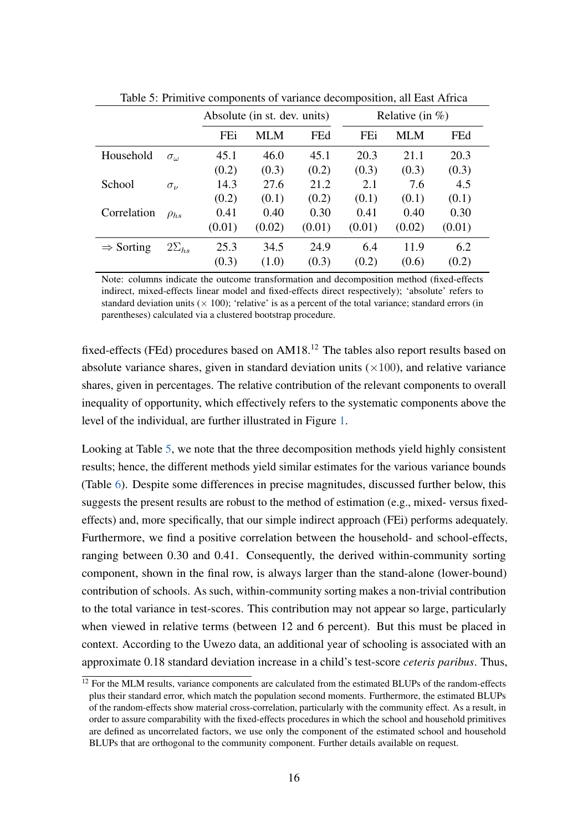|                       |                   |        | Absolute (in st. dev. units) |        | Relative (in $\%$ ) |        |        |  |
|-----------------------|-------------------|--------|------------------------------|--------|---------------------|--------|--------|--|
|                       |                   | FEi    | MLM                          | FEd    | FEi                 | MLM    | FEd    |  |
| Household             | $\sigma_{\omega}$ | 45.1   | 46.0                         | 45.1   | 20.3                | 21.1   | 20.3   |  |
|                       |                   | (0.2)  | (0.3)                        | (0.2)  | (0.3)               | (0.3)  | (0.3)  |  |
| School                | $\sigma_{\nu}$    | 14.3   | 27.6                         | 21.2   | 2.1                 | 7.6    | 4.5    |  |
|                       |                   | (0.2)  | (0.1)                        | (0.2)  | (0.1)               | (0.1)  | (0.1)  |  |
| Correlation           | $\rho_{hs}$       | 0.41   | 0.40                         | 0.30   | 0.41                | 0.40   | 0.30   |  |
|                       |                   | (0.01) | (0.02)                       | (0.01) | (0.01)              | (0.02) | (0.01) |  |
| $\Rightarrow$ Sorting | $2\Sigma_{hs}$    | 25.3   | 34.5                         | 24.9   | 6.4                 | 11.9   | 6.2    |  |
|                       |                   | (0.3)  | (1.0)                        | (0.3)  | (0.2)               | (0.6)  | (0.2)  |  |

<span id="page-17-0"></span>Table 5: Primitive components of variance decomposition, all East Africa

Note: columns indicate the outcome transformation and decomposition method (fixed-effects indirect, mixed-effects linear model and fixed-effects direct respectively); 'absolute' refers to standard deviation units ( $\times$  100); 'relative' is as a percent of the total variance; standard errors (in parentheses) calculated via a clustered bootstrap procedure.

fixed-effects (FEd) procedures based on AM18.<sup>12</sup> The tables also report results based on absolute variance shares, given in standard deviation units  $(\times 100)$ , and relative variance shares, given in percentages. The relative contribution of the relevant components to overall inequality of opportunity, which effectively refers to the systematic components above the level of the individual, are further illustrated in Figure [1.](#page-19-0)

Looking at Table [5,](#page-17-0) we note that the three decomposition methods yield highly consistent results; hence, the different methods yield similar estimates for the various variance bounds (Table [6\)](#page-18-0). Despite some differences in precise magnitudes, discussed further below, this suggests the present results are robust to the method of estimation (e.g., mixed- versus fixedeffects) and, more specifically, that our simple indirect approach (FEi) performs adequately. Furthermore, we find a positive correlation between the household- and school-effects, ranging between 0.30 and 0.41. Consequently, the derived within-community sorting component, shown in the final row, is always larger than the stand-alone (lower-bound) contribution of schools. As such, within-community sorting makes a non-trivial contribution to the total variance in test-scores. This contribution may not appear so large, particularly when viewed in relative terms (between 12 and 6 percent). But this must be placed in context. According to the Uwezo data, an additional year of schooling is associated with an approximate 0.18 standard deviation increase in a child's test-score *ceteris paribus*. Thus,

<sup>&</sup>lt;sup>12</sup> For the MLM results, variance components are calculated from the estimated BLUPs of the random-effects plus their standard error, which match the population second moments. Furthermore, the estimated BLUPs of the random-effects show material cross-correlation, particularly with the community effect. As a result, in order to assure comparability with the fixed-effects procedures in which the school and household primitives are defined as uncorrelated factors, we use only the component of the estimated school and household BLUPs that are orthogonal to the community component. Further details available on request.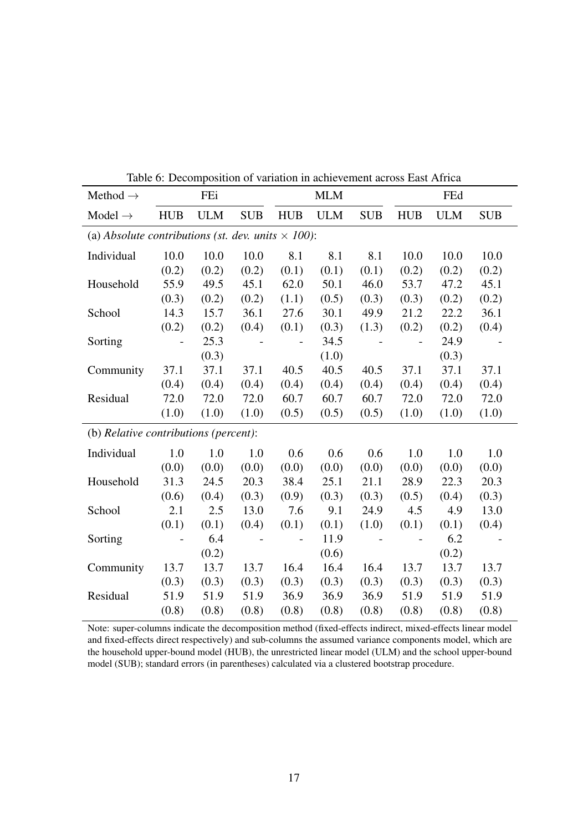| Method $\rightarrow$                                      |            | FEi        |            |                | <b>MLM</b> |            |            | FEd        |            |
|-----------------------------------------------------------|------------|------------|------------|----------------|------------|------------|------------|------------|------------|
| Model $\rightarrow$                                       | <b>HUB</b> | <b>ULM</b> | <b>SUB</b> | <b>HUB</b>     | <b>ULM</b> | <b>SUB</b> | <b>HUB</b> | <b>ULM</b> | <b>SUB</b> |
| (a) Absolute contributions (st. dev. units $\times$ 100): |            |            |            |                |            |            |            |            |            |
| Individual                                                | 10.0       | 10.0       | 10.0       | 8.1            | 8.1        | 8.1        | 10.0       | 10.0       | 10.0       |
|                                                           | (0.2)      | (0.2)      | (0.2)      | (0.1)          | (0.1)      | (0.1)      | (0.2)      | (0.2)      | (0.2)      |
| Household                                                 | 55.9       | 49.5       | 45.1       | 62.0           | 50.1       | 46.0       | 53.7       | 47.2       | 45.1       |
|                                                           | (0.3)      | (0.2)      | (0.2)      | (1.1)          | (0.5)      | (0.3)      | (0.3)      | (0.2)      | (0.2)      |
| School                                                    | 14.3       | 15.7       | 36.1       | 27.6           | 30.1       | 49.9       | 21.2       | 22.2       | 36.1       |
|                                                           | (0.2)      | (0.2)      | (0.4)      | (0.1)          | (0.3)      | (1.3)      | (0.2)      | (0.2)      | (0.4)      |
| Sorting                                                   |            | 25.3       |            | $\overline{a}$ | 34.5       |            |            | 24.9       |            |
|                                                           |            | (0.3)      |            |                | (1.0)      |            |            | (0.3)      |            |
| Community                                                 | 37.1       | 37.1       | 37.1       | 40.5           | 40.5       | 40.5       | 37.1       | 37.1       | 37.1       |
|                                                           | (0.4)      | (0.4)      | (0.4)      | (0.4)          | (0.4)      | (0.4)      | (0.4)      | (0.4)      | (0.4)      |
| Residual                                                  | 72.0       | 72.0       | 72.0       | 60.7           | 60.7       | 60.7       | 72.0       | 72.0       | 72.0       |
|                                                           | (1.0)      | (1.0)      | (1.0)      | (0.5)          | (0.5)      | (0.5)      | (1.0)      | (1.0)      | (1.0)      |
| (b) Relative contributions (percent):                     |            |            |            |                |            |            |            |            |            |
| Individual                                                | 1.0        | 1.0        | 1.0        | 0.6            | 0.6        | 0.6        | 1.0        | 1.0        | 1.0        |
|                                                           | (0.0)      | (0.0)      | (0.0)      | (0.0)          | (0.0)      | (0.0)      | (0.0)      | (0.0)      | (0.0)      |
| Household                                                 | 31.3       | 24.5       | 20.3       | 38.4           | 25.1       | 21.1       | 28.9       | 22.3       | 20.3       |
|                                                           | (0.6)      | (0.4)      | (0.3)      | (0.9)          | (0.3)      | (0.3)      | (0.5)      | (0.4)      | (0.3)      |
| School                                                    | 2.1        | 2.5        | 13.0       | 7.6            | 9.1        | 24.9       | 4.5        | 4.9        | 13.0       |
|                                                           | (0.1)      | (0.1)      | (0.4)      | (0.1)          | (0.1)      | (1.0)      | (0.1)      | (0.1)      | (0.4)      |
| Sorting                                                   |            | 6.4        |            |                | 11.9       |            |            | 6.2        |            |
|                                                           |            | (0.2)      |            |                | (0.6)      |            |            | (0.2)      |            |
| Community                                                 | 13.7       | 13.7       | 13.7       | 16.4           | 16.4       | 16.4       | 13.7       | 13.7       | 13.7       |
|                                                           | (0.3)      | (0.3)      | (0.3)      | (0.3)          | (0.3)      | (0.3)      | (0.3)      | (0.3)      | (0.3)      |
| Residual                                                  | 51.9       | 51.9       | 51.9       | 36.9           | 36.9       | 36.9       | 51.9       | 51.9       | 51.9       |
|                                                           | (0.8)      | (0.8)      | (0.8)      | (0.8)          | (0.8)      | (0.8)      | (0.8)      | (0.8)      | (0.8)      |

<span id="page-18-0"></span>Table 6: Decomposition of variation in achievement across East Africa

Note: super-columns indicate the decomposition method (fixed-effects indirect, mixed-effects linear model and fixed-effects direct respectively) and sub-columns the assumed variance components model, which are the household upper-bound model (HUB), the unrestricted linear model (ULM) and the school upper-bound model (SUB); standard errors (in parentheses) calculated via a clustered bootstrap procedure.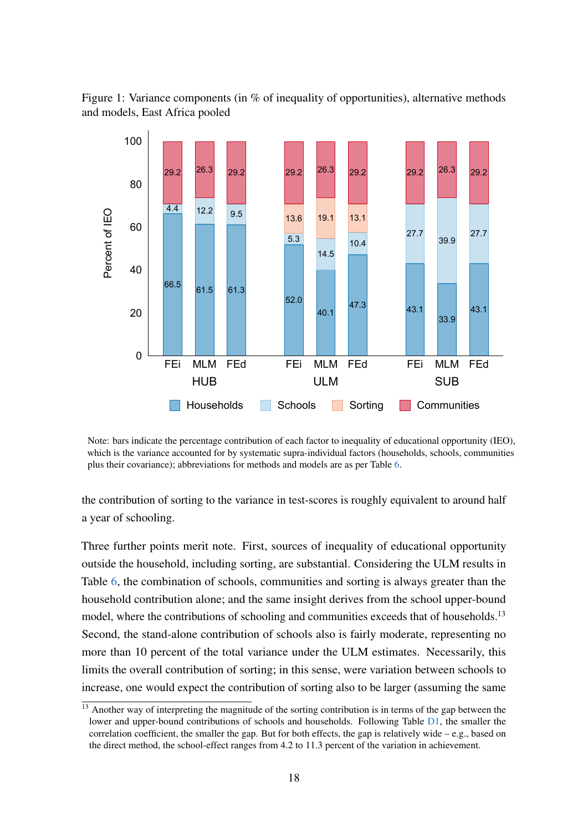<span id="page-19-0"></span>Figure 1: Variance components (in % of inequality of opportunities), alternative methods and models, East Africa pooled



Note: bars indicate the percentage contribution of each factor to inequality of educational opportunity (IEO), which is the variance accounted for by systematic supra-individual factors (households, schools, communities plus their covariance); abbreviations for methods and models are as per Table [6.](#page-18-0)

the contribution of sorting to the variance in test-scores is roughly equivalent to around half a year of schooling.

Three further points merit note. First, sources of inequality of educational opportunity outside the household, including sorting, are substantial. Considering the ULM results in Table [6,](#page-18-0) the combination of schools, communities and sorting is always greater than the household contribution alone; and the same insight derives from the school upper-bound model, where the contributions of schooling and communities exceeds that of households.<sup>13</sup> Second, the stand-alone contribution of schools also is fairly moderate, representing no more than 10 percent of the total variance under the ULM estimates. Necessarily, this limits the overall contribution of sorting; in this sense, were variation between schools to increase, one would expect the contribution of sorting also to be larger (assuming the same

 $\frac{13}{13}$  Another way of interpreting the magnitude of the sorting contribution is in terms of the gap between the lower and upper-bound contributions of schools and households. Following Table [D1,](#page-40-0) the smaller the correlation coefficient, the smaller the gap. But for both effects, the gap is relatively wide – e.g., based on the direct method, the school-effect ranges from 4.2 to 11.3 percent of the variation in achievement.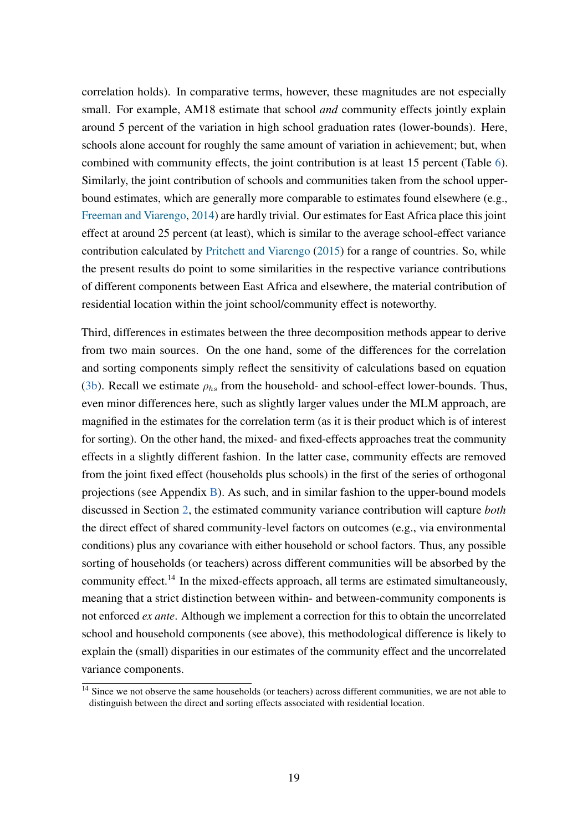correlation holds). In comparative terms, however, these magnitudes are not especially small. For example, AM18 estimate that school *and* community effects jointly explain around 5 percent of the variation in high school graduation rates (lower-bounds). Here, schools alone account for roughly the same amount of variation in achievement; but, when combined with community effects, the joint contribution is at least 15 percent (Table [6\)](#page-18-0). Similarly, the joint contribution of schools and communities taken from the school upperbound estimates, which are generally more comparable to estimates found elsewhere (e.g., [Freeman and Viarengo,](#page-31-7) [2014\)](#page-31-7) are hardly trivial. Our estimates for East Africa place this joint effect at around 25 percent (at least), which is similar to the average school-effect variance contribution calculated by [Pritchett and Viarengo](#page-33-6) [\(2015\)](#page-33-6) for a range of countries. So, while the present results do point to some similarities in the respective variance contributions of different components between East Africa and elsewhere, the material contribution of residential location within the joint school/community effect is noteworthy.

Third, differences in estimates between the three decomposition methods appear to derive from two main sources. On the one hand, some of the differences for the correlation and sorting components simply reflect the sensitivity of calculations based on equation [\(3b\)](#page-7-1). Recall we estimate  $\rho_{hs}$  from the household- and school-effect lower-bounds. Thus, even minor differences here, such as slightly larger values under the MLM approach, are magnified in the estimates for the correlation term (as it is their product which is of interest for sorting). On the other hand, the mixed- and fixed-effects approaches treat the community effects in a slightly different fashion. In the latter case, community effects are removed from the joint fixed effect (households plus schools) in the first of the series of orthogonal projections (see Appendix  $\overline{B}$ ). As such, and in similar fashion to the upper-bound models discussed in Section [2,](#page-4-1) the estimated community variance contribution will capture *both* the direct effect of shared community-level factors on outcomes (e.g., via environmental conditions) plus any covariance with either household or school factors. Thus, any possible sorting of households (or teachers) across different communities will be absorbed by the community effect.<sup>14</sup> In the mixed-effects approach, all terms are estimated simultaneously, meaning that a strict distinction between within- and between-community components is not enforced *ex ante*. Although we implement a correction for this to obtain the uncorrelated school and household components (see above), this methodological difference is likely to explain the (small) disparities in our estimates of the community effect and the uncorrelated variance components.

 $\frac{14}{14}$  Since we not observe the same households (or teachers) across different communities, we are not able to distinguish between the direct and sorting effects associated with residential location.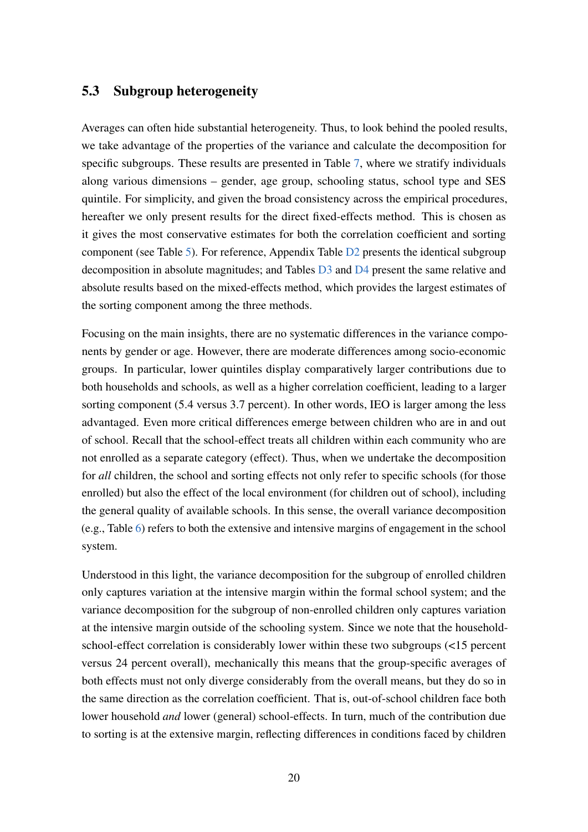#### 5.3 Subgroup heterogeneity

Averages can often hide substantial heterogeneity. Thus, to look behind the pooled results, we take advantage of the properties of the variance and calculate the decomposition for specific subgroups. These results are presented in Table [7,](#page-23-0) where we stratify individuals along various dimensions – gender, age group, schooling status, school type and SES quintile. For simplicity, and given the broad consistency across the empirical procedures, hereafter we only present results for the direct fixed-effects method. This is chosen as it gives the most conservative estimates for both the correlation coefficient and sorting component (see Table [5\)](#page-17-0). For reference, Appendix Table [D2](#page-41-0) presents the identical subgroup decomposition in absolute magnitudes; and Tables [D3](#page-42-0) and [D4](#page-43-0) present the same relative and absolute results based on the mixed-effects method, which provides the largest estimates of the sorting component among the three methods.

Focusing on the main insights, there are no systematic differences in the variance components by gender or age. However, there are moderate differences among socio-economic groups. In particular, lower quintiles display comparatively larger contributions due to both households and schools, as well as a higher correlation coefficient, leading to a larger sorting component (5.4 versus 3.7 percent). In other words, IEO is larger among the less advantaged. Even more critical differences emerge between children who are in and out of school. Recall that the school-effect treats all children within each community who are not enrolled as a separate category (effect). Thus, when we undertake the decomposition for *all* children, the school and sorting effects not only refer to specific schools (for those enrolled) but also the effect of the local environment (for children out of school), including the general quality of available schools. In this sense, the overall variance decomposition (e.g., Table [6\)](#page-18-0) refers to both the extensive and intensive margins of engagement in the school system.

Understood in this light, the variance decomposition for the subgroup of enrolled children only captures variation at the intensive margin within the formal school system; and the variance decomposition for the subgroup of non-enrolled children only captures variation at the intensive margin outside of the schooling system. Since we note that the householdschool-effect correlation is considerably lower within these two subgroups (<15 percent versus 24 percent overall), mechanically this means that the group-specific averages of both effects must not only diverge considerably from the overall means, but they do so in the same direction as the correlation coefficient. That is, out-of-school children face both lower household *and* lower (general) school-effects. In turn, much of the contribution due to sorting is at the extensive margin, reflecting differences in conditions faced by children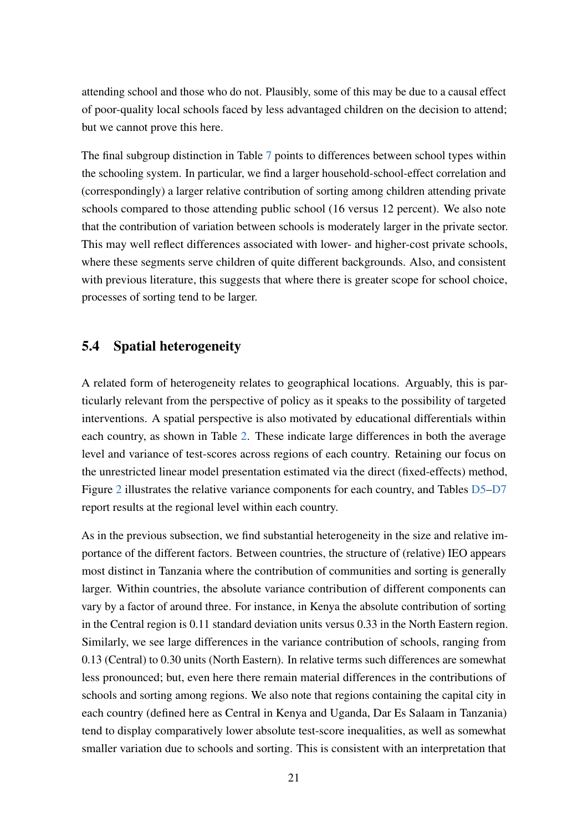attending school and those who do not. Plausibly, some of this may be due to a causal effect of poor-quality local schools faced by less advantaged children on the decision to attend; but we cannot prove this here.

The final subgroup distinction in Table [7](#page-23-0) points to differences between school types within the schooling system. In particular, we find a larger household-school-effect correlation and (correspondingly) a larger relative contribution of sorting among children attending private schools compared to those attending public school (16 versus 12 percent). We also note that the contribution of variation between schools is moderately larger in the private sector. This may well reflect differences associated with lower- and higher-cost private schools, where these segments serve children of quite different backgrounds. Also, and consistent with previous literature, this suggests that where there is greater scope for school choice, processes of sorting tend to be larger.

#### 5.4 Spatial heterogeneity

A related form of heterogeneity relates to geographical locations. Arguably, this is particularly relevant from the perspective of policy as it speaks to the possibility of targeted interventions. A spatial perspective is also motivated by educational differentials within each country, as shown in Table [2.](#page-13-0) These indicate large differences in both the average level and variance of test-scores across regions of each country. Retaining our focus on the unrestricted linear model presentation estimated via the direct (fixed-effects) method, Figure [2](#page-24-0) illustrates the relative variance components for each country, and Tables [D5](#page-44-0)[–D7](#page-46-0) report results at the regional level within each country.

As in the previous subsection, we find substantial heterogeneity in the size and relative importance of the different factors. Between countries, the structure of (relative) IEO appears most distinct in Tanzania where the contribution of communities and sorting is generally larger. Within countries, the absolute variance contribution of different components can vary by a factor of around three. For instance, in Kenya the absolute contribution of sorting in the Central region is 0.11 standard deviation units versus 0.33 in the North Eastern region. Similarly, we see large differences in the variance contribution of schools, ranging from 0.13 (Central) to 0.30 units (North Eastern). In relative terms such differences are somewhat less pronounced; but, even here there remain material differences in the contributions of schools and sorting among regions. We also note that regions containing the capital city in each country (defined here as Central in Kenya and Uganda, Dar Es Salaam in Tanzania) tend to display comparatively lower absolute test-score inequalities, as well as somewhat smaller variation due to schools and sorting. This is consistent with an interpretation that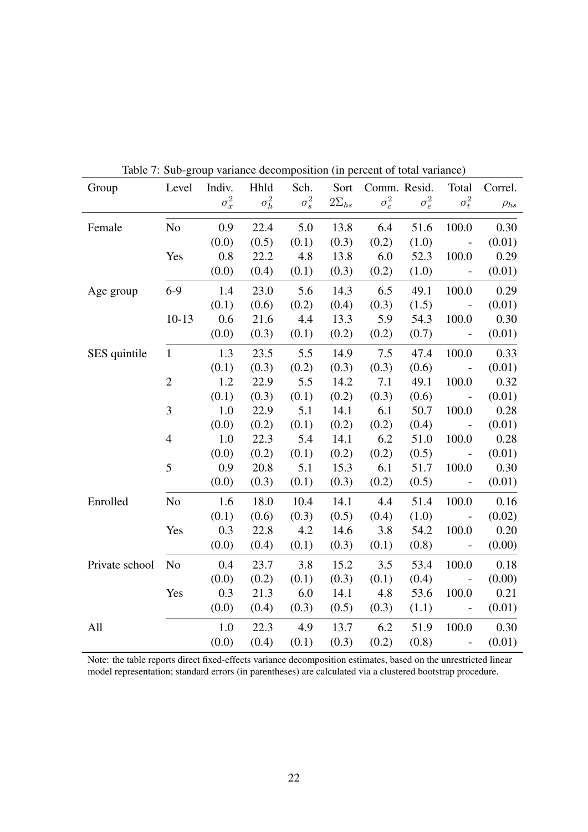| Group          | Level          | raone r. Suo group variance accomposition (in percent or total variance)<br>Indiv. | Hhld         | Sch.         | Sort           |              | Comm. Resid. | Total                                                     | Correl.     |
|----------------|----------------|------------------------------------------------------------------------------------|--------------|--------------|----------------|--------------|--------------|-----------------------------------------------------------|-------------|
|                |                | $\sigma_x^2$                                                                       | $\sigma_h^2$ | $\sigma_s^2$ | $2\Sigma_{hs}$ | $\sigma_c^2$ | $\sigma_e^2$ | $\sigma_t^2$                                              | $\rho_{hs}$ |
| Female         | N <sub>0</sub> | 0.9                                                                                | 22.4         | 5.0          | 13.8           | 6.4          | 51.6         | 100.0                                                     | 0.30        |
|                |                | (0.0)                                                                              | (0.5)        | (0.1)        | (0.3)          | (0.2)        | (1.0)        | $\sim$ $-$                                                | (0.01)      |
|                | Yes            | 0.8                                                                                | 22.2         | 4.8          | 13.8           | 6.0          | 52.3         | 100.0                                                     | 0.29        |
|                |                | (0.0)                                                                              | (0.4)        | (0.1)        | (0.3)          | (0.2)        | (1.0)        | $\sim$ $-$                                                | (0.01)      |
| Age group      | $6-9$          | 1.4                                                                                | 23.0         | 5.6          | 14.3           | 6.5          | 49.1         | 100.0                                                     | 0.29        |
|                |                | (0.1)                                                                              | (0.6)        | (0.2)        | (0.4)          | (0.3)        | (1.5)        | $\sim 100$ $\mu$                                          | (0.01)      |
|                | $10-13$        | 0.6                                                                                | 21.6         | 4.4          | 13.3           | 5.9          | 54.3         | 100.0                                                     | 0.30        |
|                |                | (0.0)                                                                              | (0.3)        | (0.1)        | (0.2)          | (0.2)        | (0.7)        | $\sim$ $-$                                                | (0.01)      |
| SES quintile   | $\mathbf{1}$   | 1.3                                                                                | 23.5         | 5.5          | 14.9           | 7.5          | 47.4         | 100.0                                                     | 0.33        |
|                |                | (0.1)                                                                              | (0.3)        | (0.2)        | (0.3)          | (0.3)        | (0.6)        | $\sim 100$ km $^{-1}$                                     | (0.01)      |
|                | $\overline{2}$ | 1.2                                                                                | 22.9         | 5.5          | 14.2           | 7.1          | 49.1         | 100.0                                                     | 0.32        |
|                |                | (0.1)                                                                              | (0.3)        | (0.1)        | (0.2)          | (0.3)        | (0.6)        | $\sim$ $-$                                                | (0.01)      |
|                | 3              | 1.0                                                                                | 22.9         | 5.1          | 14.1           | 6.1          | 50.7         | 100.0                                                     | 0.28        |
|                |                | (0.0)                                                                              | (0.2)        | (0.1)        | (0.2)          | (0.2)        | (0.4)        | $\sim 100$ km s $^{-1}$                                   | (0.01)      |
|                | $\overline{4}$ | 1.0                                                                                | 22.3         | 5.4          | 14.1           | 6.2          | 51.0         | 100.0                                                     | 0.28        |
|                |                | (0.0)                                                                              | (0.2)        | (0.1)        | (0.2)          | (0.2)        | (0.5)        | $\sim 10^{-10}$ m $^{-1}$                                 | (0.01)      |
|                | 5              | 0.9                                                                                | 20.8         | 5.1          | 15.3           | 6.1          | 51.7         | 100.0                                                     | 0.30        |
|                |                | (0.0)                                                                              | (0.3)        | (0.1)        | (0.3)          | (0.2)        | (0.5)        | $\mathcal{L}^{\mathcal{L}}(\mathcal{L}^{\mathcal{L}})$ .  | (0.01)      |
| Enrolled       | N <sub>o</sub> | 1.6                                                                                | 18.0         | 10.4         | 14.1           | 4.4          | 51.4         | 100.0                                                     | 0.16        |
|                |                | (0.1)                                                                              | (0.6)        | (0.3)        | (0.5)          | (0.4)        | (1.0)        | $\sim 10^{-1}$ $\sim$                                     | (0.02)      |
|                | Yes            | 0.3                                                                                | 22.8         | 4.2          | 14.6           | 3.8          | 54.2         | 100.0                                                     | 0.20        |
|                |                | (0.0)                                                                              | (0.4)        | (0.1)        | (0.3)          | (0.1)        | (0.8)        | $\sim 100$ km $^{-1}$                                     | (0.00)      |
| Private school | N <sub>o</sub> | 0.4                                                                                | 23.7         | 3.8          | 15.2           | 3.5          | 53.4         | 100.0                                                     | 0.18        |
|                |                | (0.0)                                                                              | (0.2)        | (0.1)        | (0.3)          | (0.1)        | (0.4)        | $\sim 10^{-10}$                                           | (0.00)      |
|                | Yes            | 0.3                                                                                | 21.3         | 6.0          | 14.1           | 4.8          | 53.6         | 100.0                                                     | 0.21        |
|                |                | (0.0)                                                                              | (0.4)        | (0.3)        | (0.5)          | (0.3)        | (1.1)        | $\sim 10^{11}$ $\sigma$                                   | (0.01)      |
| All            |                | 1.0                                                                                | 22.3         | 4.9          | 13.7           | 6.2          | 51.9         | 100.0                                                     | 0.30        |
|                |                | (0.0)                                                                              | (0.4)        | (0.1)        | (0.3)          | (0.2)        | (0.8)        | $\mathcal{L}_{\text{max}}$ and $\mathcal{L}_{\text{max}}$ | (0.01)      |

<span id="page-23-0"></span>Table 7: Sub-group variance decomposition (in percent of total variance)

Note: the table reports direct fixed-effects variance decomposition estimates, based on the unrestricted linear model representation; standard errors (in parentheses) are calculated via a clustered bootstrap procedure.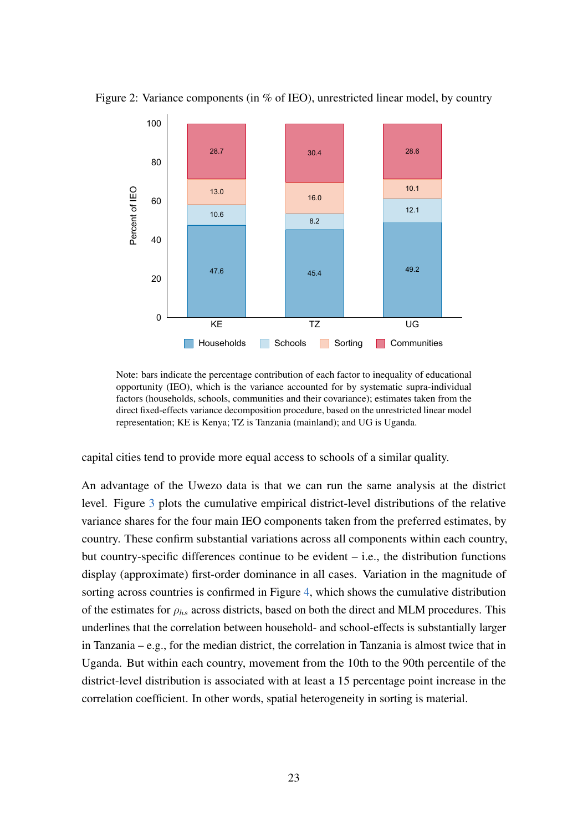Figure 2: Variance components (in % of IEO), unrestricted linear model, by country

<span id="page-24-0"></span>

Note: bars indicate the percentage contribution of each factor to inequality of educational opportunity (IEO), which is the variance accounted for by systematic supra-individual factors (households, schools, communities and their covariance); estimates taken from the direct fixed-effects variance decomposition procedure, based on the unrestricted linear model representation; KE is Kenya; TZ is Tanzania (mainland); and UG is Uganda.

capital cities tend to provide more equal access to schools of a similar quality.

An advantage of the Uwezo data is that we can run the same analysis at the district level. Figure [3](#page-25-0) plots the cumulative empirical district-level distributions of the relative variance shares for the four main IEO components taken from the preferred estimates, by country. These confirm substantial variations across all components within each country, but country-specific differences continue to be evident – i.e., the distribution functions display (approximate) first-order dominance in all cases. Variation in the magnitude of sorting across countries is confirmed in Figure [4,](#page-26-0) which shows the cumulative distribution of the estimates for  $\rho_{hs}$  across districts, based on both the direct and MLM procedures. This underlines that the correlation between household- and school-effects is substantially larger in Tanzania – e.g., for the median district, the correlation in Tanzania is almost twice that in Uganda. But within each country, movement from the 10th to the 90th percentile of the district-level distribution is associated with at least a 15 percentage point increase in the correlation coefficient. In other words, spatial heterogeneity in sorting is material.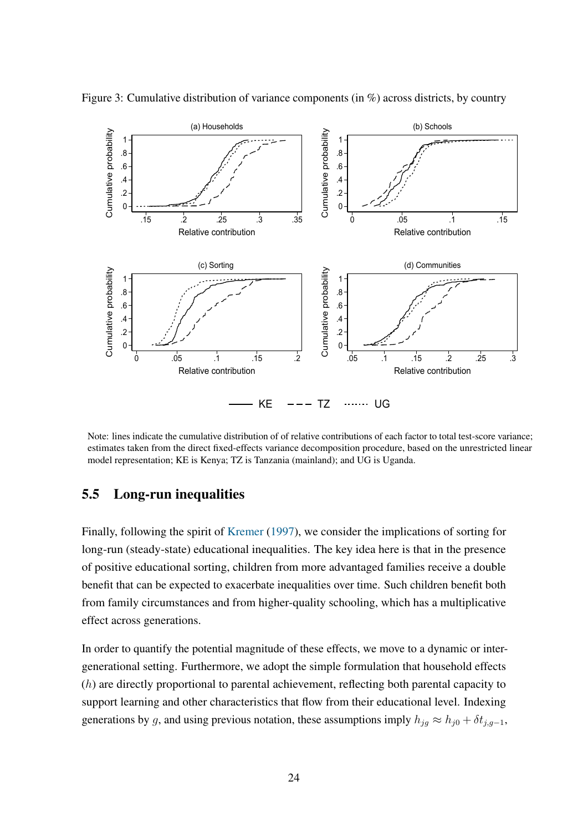<span id="page-25-0"></span>

Figure 3: Cumulative distribution of variance components (in %) across districts, by country

Note: lines indicate the cumulative distribution of of relative contributions of each factor to total test-score variance; estimates taken from the direct fixed-effects variance decomposition procedure, based on the unrestricted linear model representation; KE is Kenya; TZ is Tanzania (mainland); and UG is Uganda.

#### 5.5 Long-run inequalities

Finally, following the spirit of [Kremer](#page-32-3) [\(1997\)](#page-32-3), we consider the implications of sorting for long-run (steady-state) educational inequalities. The key idea here is that in the presence of positive educational sorting, children from more advantaged families receive a double benefit that can be expected to exacerbate inequalities over time. Such children benefit both from family circumstances and from higher-quality schooling, which has a multiplicative effect across generations.

In order to quantify the potential magnitude of these effects, we move to a dynamic or intergenerational setting. Furthermore, we adopt the simple formulation that household effects (h) are directly proportional to parental achievement, reflecting both parental capacity to support learning and other characteristics that flow from their educational level. Indexing generations by g, and using previous notation, these assumptions imply  $h_{jg} \approx h_{j0} + \delta t_{j,g-1}$ ,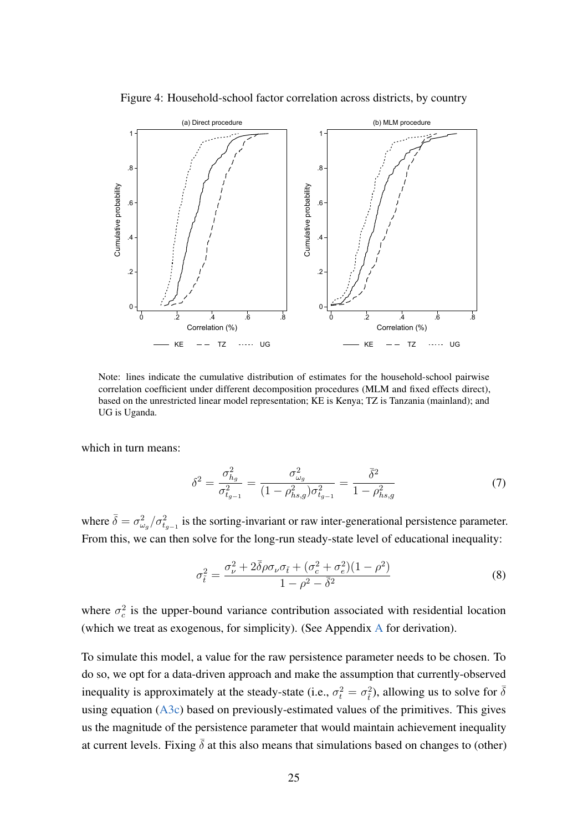

<span id="page-26-0"></span>Figure 4: Household-school factor correlation across districts, by country

Note: lines indicate the cumulative distribution of estimates for the household-school pairwise correlation coefficient under different decomposition procedures (MLM and fixed effects direct), based on the unrestricted linear model representation; KE is Kenya; TZ is Tanzania (mainland); and UG is Uganda.

which in turn means:

<span id="page-26-1"></span>
$$
\delta^2 = \frac{\sigma_{h_g}^2}{\sigma_{t_{g-1}}^2} = \frac{\sigma_{\omega_g}^2}{(1 - \rho_{hs,g}^2)\sigma_{t_{g-1}}^2} = \frac{\bar{\delta}^2}{1 - \rho_{hs,g}^2}
$$
(7)

where  $\bar{\delta} = \sigma_{\omega_g}^2 / \sigma_{t_{g-1}}^2$  is the sorting-invariant or raw inter-generational persistence parameter. From this, we can then solve for the long-run steady-state level of educational inequality:

$$
\sigma_{\tilde{t}}^2 = \frac{\sigma_{\nu}^2 + 2\bar{\delta}\rho\sigma_{\nu}\sigma_{\tilde{t}} + (\sigma_c^2 + \sigma_e^2)(1 - \rho^2)}{1 - \rho^2 - \bar{\delta}^2}
$$
(8)

where  $\sigma_c^2$  is the upper-bound variance contribution associated with residential location (which we treat as exogenous, for simplicity). (See Appendix [A](#page-36-0) for derivation).

To simulate this model, a value for the raw persistence parameter needs to be chosen. To do so, we opt for a data-driven approach and make the assumption that currently-observed inequality is approximately at the steady-state (i.e.,  $\sigma_t^2 = \sigma_{\tilde{t}}^2$ ), allowing us to solve for  $\bar{\delta}$ using equation  $(A3c)$  based on previously-estimated values of the primitives. This gives us the magnitude of the persistence parameter that would maintain achievement inequality at current levels. Fixing  $\bar{\delta}$  at this also means that simulations based on changes to (other)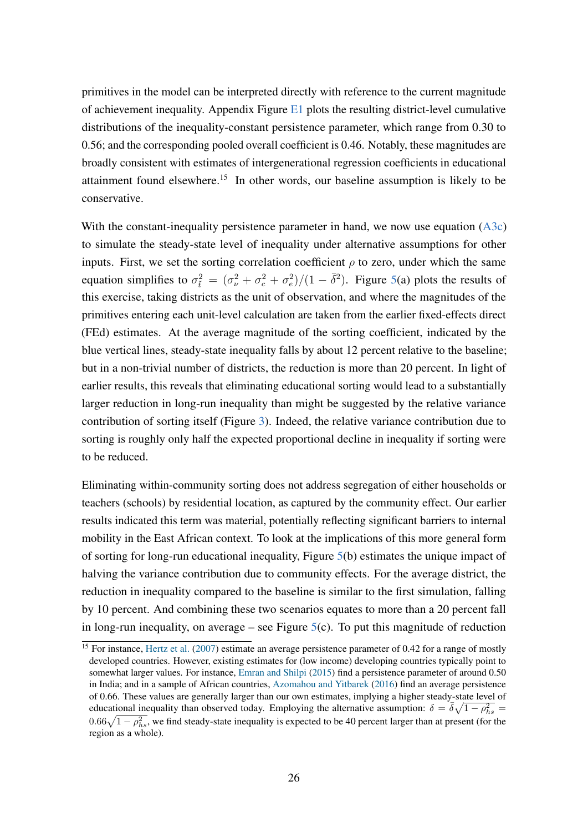primitives in the model can be interpreted directly with reference to the current magnitude of achievement inequality. Appendix Figure [E1](#page-47-0) plots the resulting district-level cumulative distributions of the inequality-constant persistence parameter, which range from 0.30 to 0.56; and the corresponding pooled overall coefficient is 0.46. Notably, these magnitudes are broadly consistent with estimates of intergenerational regression coefficients in educational attainment found elsewhere.<sup>15</sup> In other words, our baseline assumption is likely to be conservative.

With the constant-inequality persistence parameter in hand, we now use equation [\(A3c\)](#page-36-1) to simulate the steady-state level of inequality under alternative assumptions for other inputs. First, we set the sorting correlation coefficient  $\rho$  to zero, under which the same equation simplifies to  $\sigma_{\tilde{t}}^2 = (\sigma_{\nu}^2 + \sigma_{e}^2 + \sigma_{e}^2)/(1 - \bar{\delta}^2)$ . Figure [5\(](#page-28-1)a) plots the results of this exercise, taking districts as the unit of observation, and where the magnitudes of the primitives entering each unit-level calculation are taken from the earlier fixed-effects direct (FEd) estimates. At the average magnitude of the sorting coefficient, indicated by the blue vertical lines, steady-state inequality falls by about 12 percent relative to the baseline; but in a non-trivial number of districts, the reduction is more than 20 percent. In light of earlier results, this reveals that eliminating educational sorting would lead to a substantially larger reduction in long-run inequality than might be suggested by the relative variance contribution of sorting itself (Figure [3\)](#page-25-0). Indeed, the relative variance contribution due to sorting is roughly only half the expected proportional decline in inequality if sorting were to be reduced.

Eliminating within-community sorting does not address segregation of either households or teachers (schools) by residential location, as captured by the community effect. Our earlier results indicated this term was material, potentially reflecting significant barriers to internal mobility in the East African context. To look at the implications of this more general form of sorting for long-run educational inequality, Figure [5\(](#page-28-1)b) estimates the unique impact of halving the variance contribution due to community effects. For the average district, the reduction in inequality compared to the baseline is similar to the first simulation, falling by 10 percent. And combining these two scenarios equates to more than a 20 percent fall in long-run inequality, on average – see Figure  $5(c)$  $5(c)$ . To put this magnitude of reduction

 $\frac{15}{15}$  For instance, [Hertz et al.](#page-32-8) [\(2007\)](#page-32-8) estimate an average persistence parameter of 0.42 for a range of mostly developed countries. However, existing estimates for (low income) developing countries typically point to somewhat larger values. For instance, [Emran and Shilpi](#page-31-5) [\(2015\)](#page-31-5) find a persistence parameter of around 0.50 in India; and in a sample of African countries, [Azomahou and Yitbarek](#page-30-11) [\(2016\)](#page-30-11) find an average persistence of 0.66. These values are generally larger than our own estimates, implying a higher steady-state level of educational inequality than observed today. Employing the alternative assumption:  $\delta = \overline{\delta}\sqrt{1 - \rho_{hs}^2}$  $0.66\sqrt{1-\rho_{hs}^2}$ , we find steady-state inequality is expected to be 40 percent larger than at present (for the region as a whole).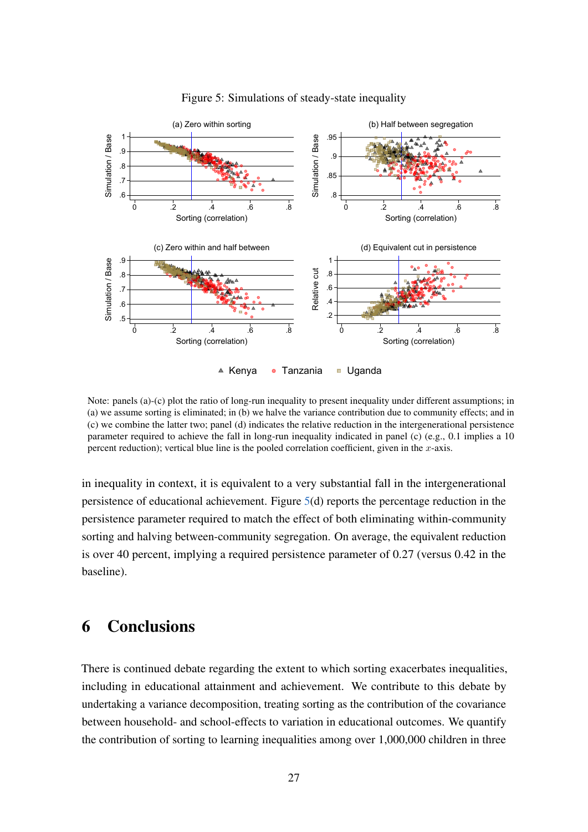

<span id="page-28-1"></span>Figure 5: Simulations of steady-state inequality

Kenya ● Tanzania ■ Uganda

Note: panels (a)-(c) plot the ratio of long-run inequality to present inequality under different assumptions; in (a) we assume sorting is eliminated; in (b) we halve the variance contribution due to community effects; and in (c) we combine the latter two; panel (d) indicates the relative reduction in the intergenerational persistence parameter required to achieve the fall in long-run inequality indicated in panel (c) (e.g., 0.1 implies a 10 percent reduction); vertical blue line is the pooled correlation coefficient, given in the  $x$ -axis.

in inequality in context, it is equivalent to a very substantial fall in the intergenerational persistence of educational achievement. Figure [5\(](#page-28-1)d) reports the percentage reduction in the persistence parameter required to match the effect of both eliminating within-community sorting and halving between-community segregation. On average, the equivalent reduction is over 40 percent, implying a required persistence parameter of 0.27 (versus 0.42 in the baseline).

# <span id="page-28-0"></span>6 Conclusions

There is continued debate regarding the extent to which sorting exacerbates inequalities, including in educational attainment and achievement. We contribute to this debate by undertaking a variance decomposition, treating sorting as the contribution of the covariance between household- and school-effects to variation in educational outcomes. We quantify the contribution of sorting to learning inequalities among over 1,000,000 children in three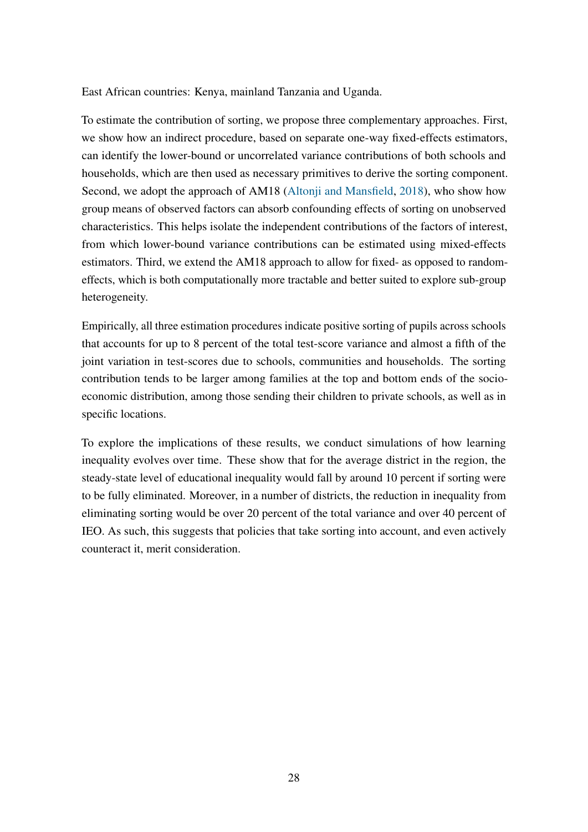East African countries: Kenya, mainland Tanzania and Uganda.

To estimate the contribution of sorting, we propose three complementary approaches. First, we show how an indirect procedure, based on separate one-way fixed-effects estimators, can identify the lower-bound or uncorrelated variance contributions of both schools and households, which are then used as necessary primitives to derive the sorting component. Second, we adopt the approach of AM18 [\(Altonji and Mansfield,](#page-30-2) [2018\)](#page-30-2), who show how group means of observed factors can absorb confounding effects of sorting on unobserved characteristics. This helps isolate the independent contributions of the factors of interest, from which lower-bound variance contributions can be estimated using mixed-effects estimators. Third, we extend the AM18 approach to allow for fixed- as opposed to randomeffects, which is both computationally more tractable and better suited to explore sub-group heterogeneity.

Empirically, all three estimation procedures indicate positive sorting of pupils across schools that accounts for up to 8 percent of the total test-score variance and almost a fifth of the joint variation in test-scores due to schools, communities and households. The sorting contribution tends to be larger among families at the top and bottom ends of the socioeconomic distribution, among those sending their children to private schools, as well as in specific locations.

To explore the implications of these results, we conduct simulations of how learning inequality evolves over time. These show that for the average district in the region, the steady-state level of educational inequality would fall by around 10 percent if sorting were to be fully eliminated. Moreover, in a number of districts, the reduction in inequality from eliminating sorting would be over 20 percent of the total variance and over 40 percent of IEO. As such, this suggests that policies that take sorting into account, and even actively counteract it, merit consideration.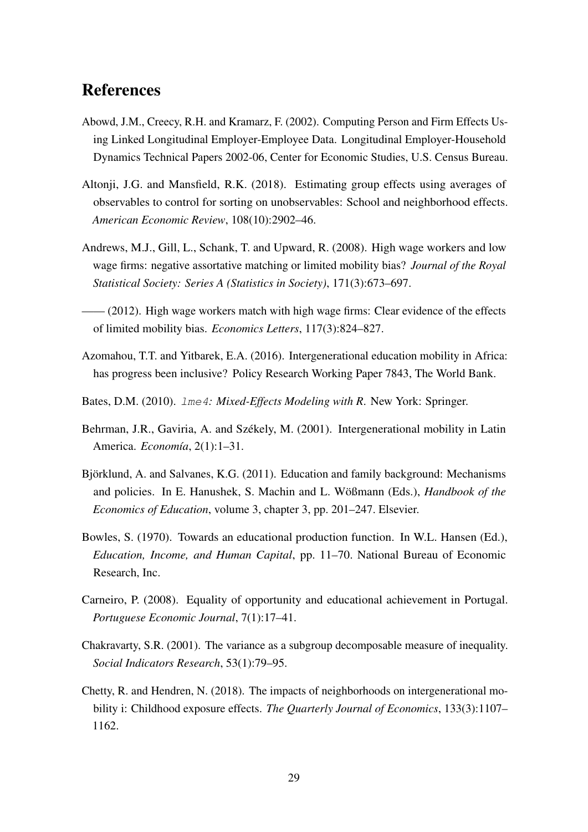### References

- <span id="page-30-7"></span>Abowd, J.M., Creecy, R.H. and Kramarz, F. (2002). Computing Person and Firm Effects Using Linked Longitudinal Employer-Employee Data. Longitudinal Employer-Household Dynamics Technical Papers 2002-06, Center for Economic Studies, U.S. Census Bureau.
- <span id="page-30-2"></span>Altonji, J.G. and Mansfield, R.K. (2018). Estimating group effects using averages of observables to control for sorting on unobservables: School and neighborhood effects. *American Economic Review*, 108(10):2902–46.
- <span id="page-30-8"></span>Andrews, M.J., Gill, L., Schank, T. and Upward, R. (2008). High wage workers and low wage firms: negative assortative matching or limited mobility bias? *Journal of the Royal Statistical Society: Series A (Statistics in Society)*, 171(3):673–697.
- <span id="page-30-9"></span> $-$  (2012). High wage workers match with high wage firms: Clear evidence of the effects of limited mobility bias. *Economics Letters*, 117(3):824–827.
- <span id="page-30-11"></span>Azomahou, T.T. and Yitbarek, E.A. (2016). Intergenerational education mobility in Africa: has progress been inclusive? Policy Research Working Paper 7843, The World Bank.
- <span id="page-30-10"></span>Bates, D.M. (2010). lme4*: Mixed-Effects Modeling with R*. New York: Springer.
- <span id="page-30-4"></span>Behrman, J.R., Gaviria, A. and Székely, M. (2001). Intergenerational mobility in Latin America. *Economía*, 2(1):1–31.
- <span id="page-30-1"></span>Björklund, A. and Salvanes, K.G. (2011). Education and family background: Mechanisms and policies. In E. Hanushek, S. Machin and L. Wößmann (Eds.), *Handbook of the Economics of Education*, volume 3, chapter 3, pp. 201–247. Elsevier.
- <span id="page-30-0"></span>Bowles, S. (1970). Towards an educational production function. In W.L. Hansen (Ed.), *Education, Income, and Human Capital*, pp. 11–70. National Bureau of Economic Research, Inc.
- <span id="page-30-5"></span>Carneiro, P. (2008). Equality of opportunity and educational achievement in Portugal. *Portuguese Economic Journal*, 7(1):17–41.
- <span id="page-30-3"></span>Chakravarty, S.R. (2001). The variance as a subgroup decomposable measure of inequality. *Social Indicators Research*, 53(1):79–95.
- <span id="page-30-6"></span>Chetty, R. and Hendren, N. (2018). The impacts of neighborhoods on intergenerational mobility i: Childhood exposure effects. *The Quarterly Journal of Economics*, 133(3):1107– 1162.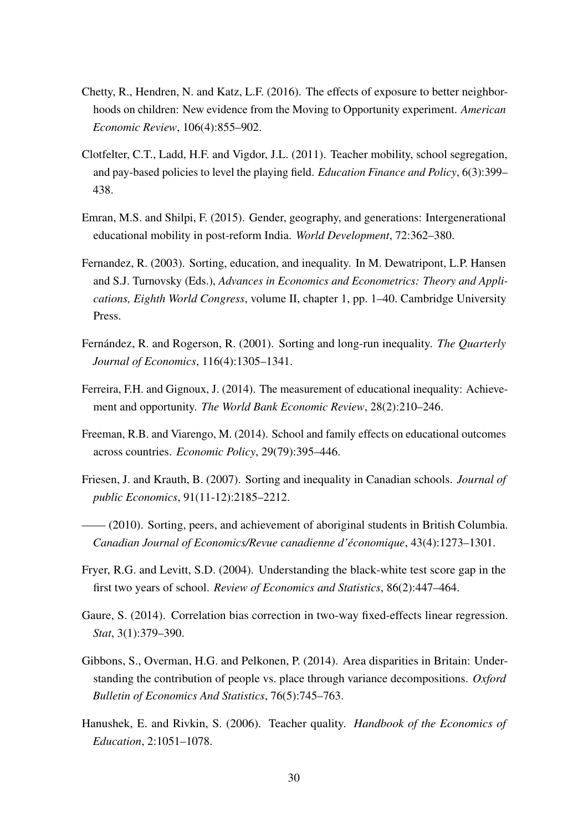- <span id="page-31-9"></span>Chetty, R., Hendren, N. and Katz, L.F. (2016). The effects of exposure to better neighborhoods on children: New evidence from the Moving to Opportunity experiment. *American Economic Review*, 106(4):855–902.
- <span id="page-31-0"></span>Clotfelter, C.T., Ladd, H.F. and Vigdor, J.L. (2011). Teacher mobility, school segregation, and pay-based policies to level the playing field. *Education Finance and Policy*, 6(3):399– 438.
- <span id="page-31-5"></span>Emran, M.S. and Shilpi, F. (2015). Gender, geography, and generations: Intergenerational educational mobility in post-reform India. *World Development*, 72:362–380.
- <span id="page-31-2"></span>Fernandez, R. (2003). Sorting, education, and inequality. In M. Dewatripont, L.P. Hansen and S.J. Turnovsky (Eds.), *Advances in Economics and Econometrics: Theory and Applications, Eighth World Congress*, volume II, chapter 1, pp. 1–40. Cambridge University Press.
- <span id="page-31-1"></span>Fernández, R. and Rogerson, R. (2001). Sorting and long-run inequality. *The Quarterly Journal of Economics*, 116(4):1305–1341.
- <span id="page-31-4"></span>Ferreira, F.H. and Gignoux, J. (2014). The measurement of educational inequality: Achievement and opportunity. *The World Bank Economic Review*, 28(2):210–246.
- <span id="page-31-7"></span>Freeman, R.B. and Viarengo, M. (2014). School and family effects on educational outcomes across countries. *Economic Policy*, 29(79):395–446.
- <span id="page-31-3"></span>Friesen, J. and Krauth, B. (2007). Sorting and inequality in Canadian schools. *Journal of public Economics*, 91(11-12):2185–2212.
- <span id="page-31-12"></span>—— (2010). Sorting, peers, and achievement of aboriginal students in British Columbia. *Canadian Journal of Economics/Revue canadienne d'économique*, 43(4):1273–1301.
- <span id="page-31-11"></span>Fryer, R.G. and Levitt, S.D. (2004). Understanding the black-white test score gap in the first two years of school. *Review of Economics and Statistics*, 86(2):447–464.
- <span id="page-31-10"></span>Gaure, S. (2014). Correlation bias correction in two-way fixed-effects linear regression. *Stat*, 3(1):379–390.
- <span id="page-31-8"></span>Gibbons, S., Overman, H.G. and Pelkonen, P. (2014). Area disparities in Britain: Understanding the contribution of people vs. place through variance decompositions. *Oxford Bulletin of Economics And Statistics*, 76(5):745–763.
- <span id="page-31-6"></span>Hanushek, E. and Rivkin, S. (2006). Teacher quality. *Handbook of the Economics of Education*, 2:1051–1078.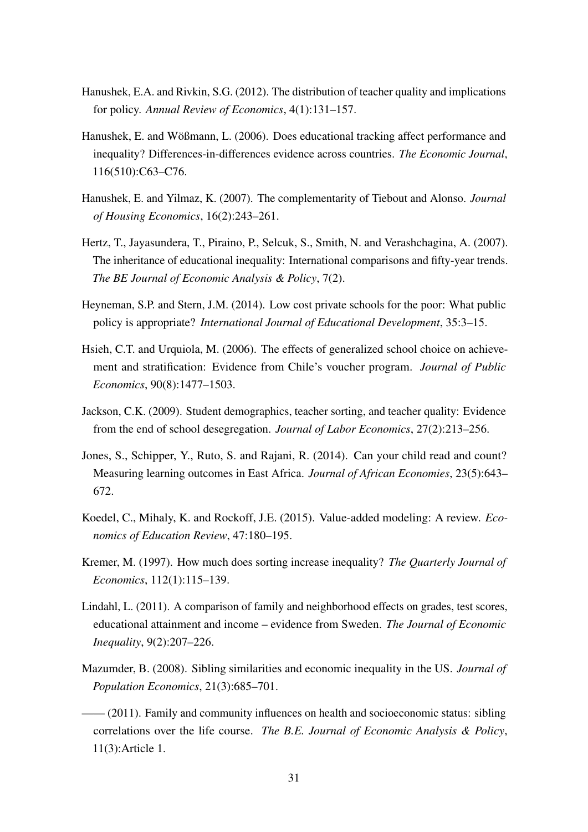- <span id="page-32-0"></span>Hanushek, E.A. and Rivkin, S.G. (2012). The distribution of teacher quality and implications for policy. *Annual Review of Economics*, 4(1):131–157.
- <span id="page-32-5"></span>Hanushek, E. and Wößmann, L. (2006). Does educational tracking affect performance and inequality? Differences-in-differences evidence across countries. *The Economic Journal*, 116(510):C63–C76.
- <span id="page-32-6"></span>Hanushek, E. and Yilmaz, K. (2007). The complementarity of Tiebout and Alonso. *Journal of Housing Economics*, 16(2):243–261.
- <span id="page-32-8"></span>Hertz, T., Jayasundera, T., Piraino, P., Selcuk, S., Smith, N. and Verashchagina, A. (2007). The inheritance of educational inequality: International comparisons and fifty-year trends. *The BE Journal of Economic Analysis & Policy*, 7(2).
- <span id="page-32-4"></span>Heyneman, S.P. and Stern, J.M. (2014). Low cost private schools for the poor: What public policy is appropriate? *International Journal of Educational Development*, 35:3–15.
- <span id="page-32-1"></span>Hsieh, C.T. and Urquiola, M. (2006). The effects of generalized school choice on achievement and stratification: Evidence from Chile's voucher program. *Journal of Public Economics*, 90(8):1477–1503.
- <span id="page-32-2"></span>Jackson, C.K. (2009). Student demographics, teacher sorting, and teacher quality: Evidence from the end of school desegregation. *Journal of Labor Economics*, 27(2):213–256.
- <span id="page-32-10"></span>Jones, S., Schipper, Y., Ruto, S. and Rajani, R. (2014). Can your child read and count? Measuring learning outcomes in East Africa. *Journal of African Economies*, 23(5):643– 672.
- <span id="page-32-9"></span>Koedel, C., Mihaly, K. and Rockoff, J.E. (2015). Value-added modeling: A review. *Economics of Education Review*, 47:180–195.
- <span id="page-32-3"></span>Kremer, M. (1997). How much does sorting increase inequality? *The Quarterly Journal of Economics*, 112(1):115–139.
- <span id="page-32-12"></span>Lindahl, L. (2011). A comparison of family and neighborhood effects on grades, test scores, educational attainment and income – evidence from Sweden. *The Journal of Economic Inequality*, 9(2):207–226.
- <span id="page-32-11"></span>Mazumder, B. (2008). Sibling similarities and economic inequality in the US. *Journal of Population Economics*, 21(3):685–701.
- <span id="page-32-7"></span>—— (2011). Family and community influences on health and socioeconomic status: sibling correlations over the life course. *The B.E. Journal of Economic Analysis & Policy*, 11(3):Article 1.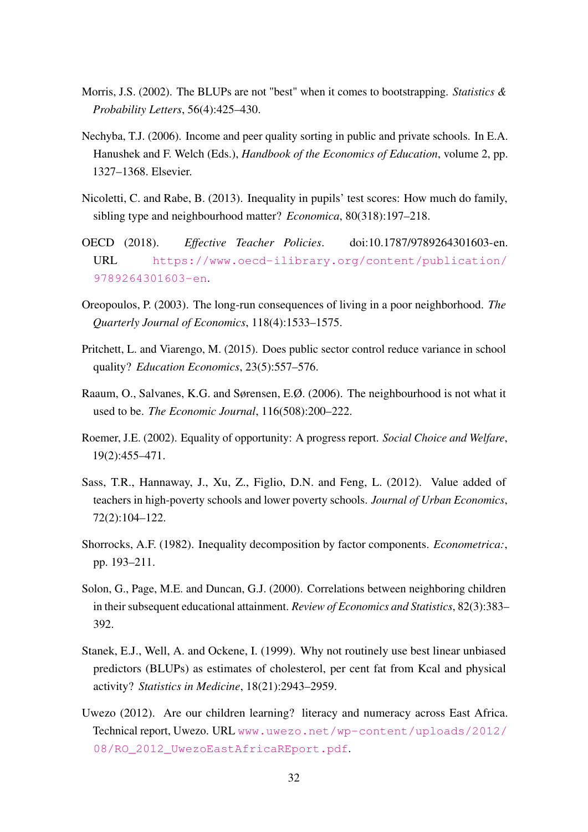- <span id="page-33-11"></span>Morris, J.S. (2002). The BLUPs are not "best" when it comes to bootstrapping. *Statistics & Probability Letters*, 56(4):425–430.
- <span id="page-33-0"></span>Nechyba, T.J. (2006). Income and peer quality sorting in public and private schools. In E.A. Hanushek and F. Welch (Eds.), *Handbook of the Economics of Education*, volume 2, pp. 1327–1368. Elsevier.
- <span id="page-33-5"></span>Nicoletti, C. and Rabe, B. (2013). Inequality in pupils' test scores: How much do family, sibling type and neighbourhood matter? *Economica*, 80(318):197–218.
- <span id="page-33-2"></span>OECD (2018). *Effective Teacher Policies*. doi:10.1787/9789264301603-en. URL [https://www.oecd-ilibrary.org/content/publication/](https://www.oecd-ilibrary.org/content/publication/9789264301603-en) [9789264301603-en](https://www.oecd-ilibrary.org/content/publication/9789264301603-en).
- <span id="page-33-7"></span>Oreopoulos, P. (2003). The long-run consequences of living in a poor neighborhood. *The Quarterly Journal of Economics*, 118(4):1533–1575.
- <span id="page-33-6"></span>Pritchett, L. and Viarengo, M. (2015). Does public sector control reduce variance in school quality? *Education Economics*, 23(5):557–576.
- <span id="page-33-9"></span>Raaum, O., Salvanes, K.G. and Sørensen, E.Ø. (2006). The neighbourhood is not what it used to be. *The Economic Journal*, 116(508):200–222.
- <span id="page-33-3"></span>Roemer, J.E. (2002). Equality of opportunity: A progress report. *Social Choice and Welfare*, 19(2):455–471.
- <span id="page-33-1"></span>Sass, T.R., Hannaway, J., Xu, Z., Figlio, D.N. and Feng, L. (2012). Value added of teachers in high-poverty schools and lower poverty schools. *Journal of Urban Economics*, 72(2):104–122.
- <span id="page-33-4"></span>Shorrocks, A.F. (1982). Inequality decomposition by factor components. *Econometrica:*, pp. 193–211.
- <span id="page-33-8"></span>Solon, G., Page, M.E. and Duncan, G.J. (2000). Correlations between neighboring children in their subsequent educational attainment. *Review of Economics and Statistics*, 82(3):383– 392.
- <span id="page-33-10"></span>Stanek, E.J., Well, A. and Ockene, I. (1999). Why not routinely use best linear unbiased predictors (BLUPs) as estimates of cholesterol, per cent fat from Kcal and physical activity? *Statistics in Medicine*, 18(21):2943–2959.
- <span id="page-33-12"></span>Uwezo (2012). Are our children learning? literacy and numeracy across East Africa. Technical report, Uwezo. URL [www.uwezo.net/wp-content/uploads/2012/](www.uwezo.net/wp-content/uploads/2012/08/RO_2012_UwezoEastAfricaREport.pdf) 08/RO 2012 UwezoEastAfricaREport.pdf.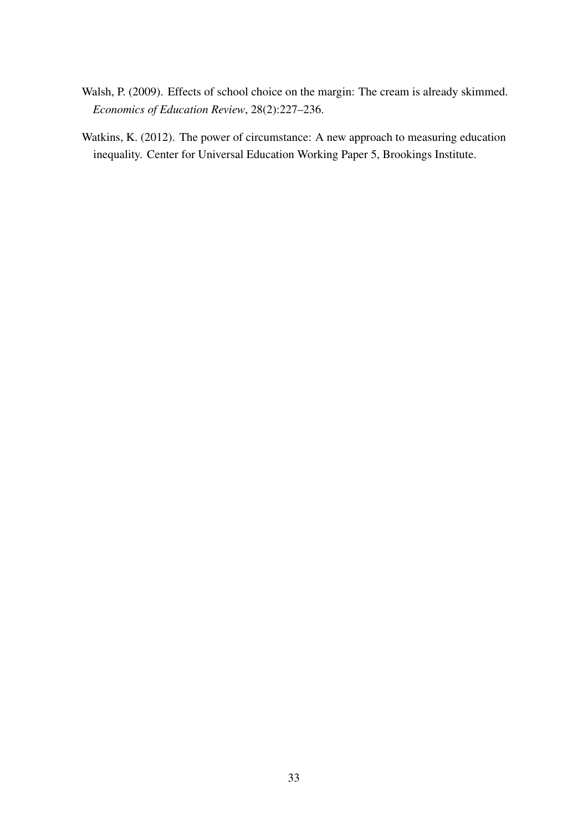- <span id="page-34-1"></span>Walsh, P. (2009). Effects of school choice on the margin: The cream is already skimmed. *Economics of Education Review*, 28(2):227–236.
- <span id="page-34-0"></span>Watkins, K. (2012). The power of circumstance: A new approach to measuring education inequality. Center for Universal Education Working Paper 5, Brookings Institute.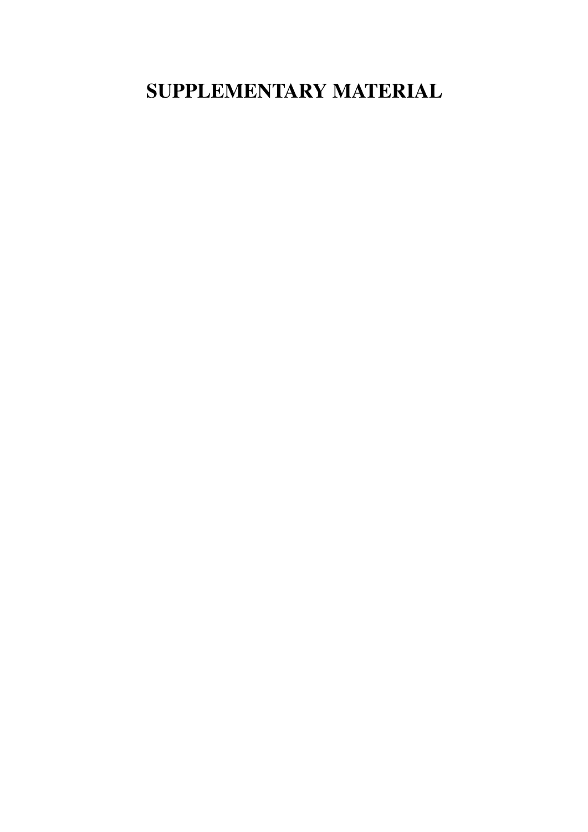# SUPPLEMENTARY MATERIAL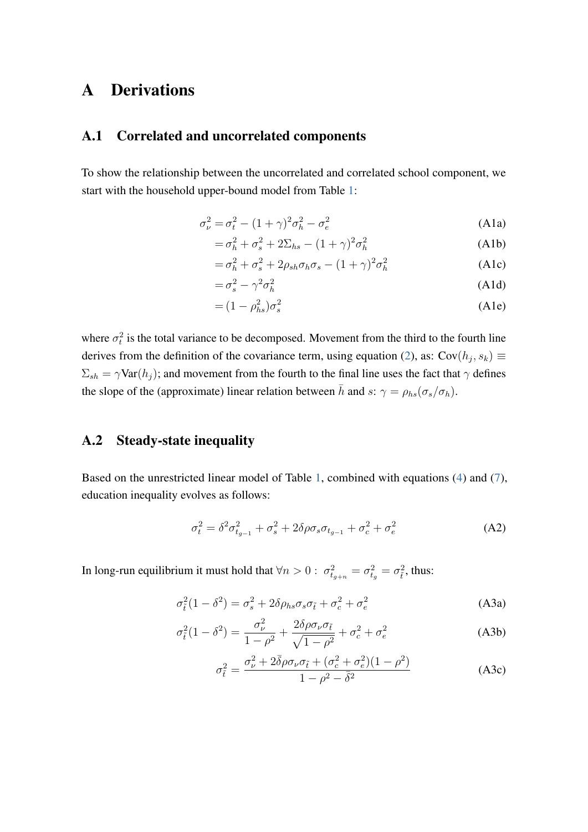# <span id="page-36-0"></span>A Derivations

#### A.1 Correlated and uncorrelated components

To show the relationship between the uncorrelated and correlated school component, we start with the household upper-bound model from Table [1:](#page-5-0)

$$
\sigma_{\nu}^2 = \sigma_t^2 - (1+\gamma)^2 \sigma_h^2 - \sigma_e^2 \tag{A1a}
$$

$$
=\sigma_h^2 + \sigma_s^2 + 2\Sigma_{hs} - (1+\gamma)^2 \sigma_h^2 \tag{A1b}
$$

<span id="page-36-1"></span>
$$
=\sigma_h^2 + \sigma_s^2 + 2\rho_{sh}\sigma_h\sigma_s - (1+\gamma)^2\sigma_h^2
$$
 (A1c)

$$
=\sigma_s^2 - \gamma^2 \sigma_h^2 \tag{A1d}
$$

$$
= (1 - \rho_{hs}^2) \sigma_s^2 \tag{A1e}
$$

where  $\sigma_t^2$  is the total variance to be decomposed. Movement from the third to the fourth line derives from the definition of the covariance term, using equation [\(2\)](#page-5-1), as:  $Cov(h_j, s_k) \equiv$  $\Sigma_{sh} = \gamma \text{Var}(h_j)$ ; and movement from the fourth to the final line uses the fact that  $\gamma$  defines the slope of the (approximate) linear relation between  $\bar{h}$  and s:  $\gamma = \rho_{hs}(\sigma_s/\sigma_h)$ .

#### A.2 Steady-state inequality

Based on the unrestricted linear model of Table [1,](#page-5-0) combined with equations [\(4\)](#page-8-0) and [\(7\)](#page-26-1), education inequality evolves as follows:

$$
\sigma_t^2 = \delta^2 \sigma_{t_{g-1}}^2 + \sigma_s^2 + 2\delta \rho \sigma_s \sigma_{t_{g-1}} + \sigma_c^2 + \sigma_e^2 \tag{A2}
$$

In long-run equilibrium it must hold that  $\forall n > 0 : \sigma_{t_{g+n}}^2 = \sigma_{t_g}^2 = \sigma_{\tilde{t}}^2$ , thus:

$$
\sigma_{\tilde{t}}^2 (1 - \delta^2) = \sigma_s^2 + 2\delta \rho_{hs} \sigma_s \sigma_{\tilde{t}} + \sigma_c^2 + \sigma_e^2 \tag{A3a}
$$

$$
\sigma_{\tilde{t}}^2 (1 - \delta^2) = \frac{\sigma_{\nu}^2}{1 - \rho^2} + \frac{2\delta\rho\sigma_{\nu}\sigma_{\tilde{t}}}{\sqrt{1 - \rho^2}} + \sigma_c^2 + \sigma_e^2
$$
 (A3b)

$$
\sigma_{\tilde{t}}^2 = \frac{\sigma_{\nu}^2 + 2\bar{\delta}\rho\sigma_{\nu}\sigma_{\tilde{t}} + (\sigma_c^2 + \sigma_e^2)(1 - \rho^2)}{1 - \rho^2 - \bar{\delta}^2}
$$
(A3c)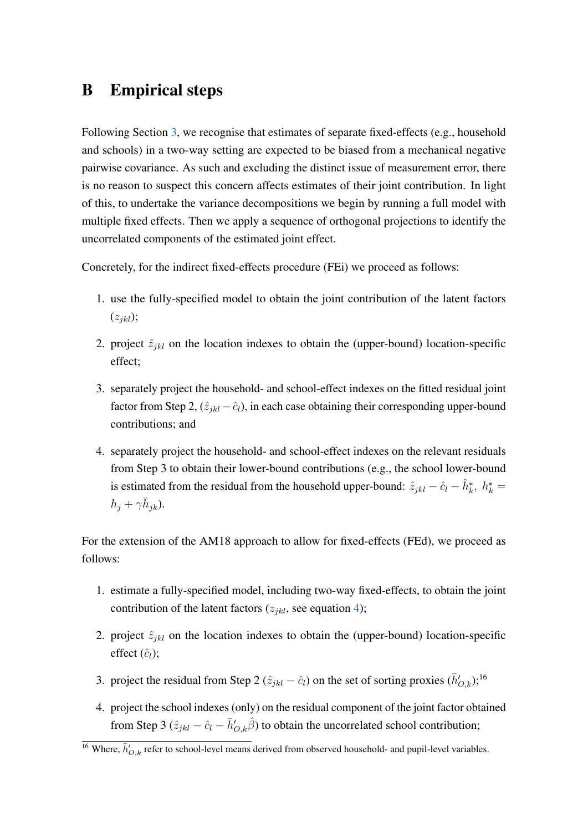# <span id="page-37-0"></span>B Empirical steps

Following Section [3,](#page-7-0) we recognise that estimates of separate fixed-effects (e.g., household and schools) in a two-way setting are expected to be biased from a mechanical negative pairwise covariance. As such and excluding the distinct issue of measurement error, there is no reason to suspect this concern affects estimates of their joint contribution. In light of this, to undertake the variance decompositions we begin by running a full model with multiple fixed effects. Then we apply a sequence of orthogonal projections to identify the uncorrelated components of the estimated joint effect.

Concretely, for the indirect fixed-effects procedure (FEi) we proceed as follows:

- 1. use the fully-specified model to obtain the joint contribution of the latent factors  $(z_{ikl});$
- 2. project  $\hat{z}_{jkl}$  on the location indexes to obtain the (upper-bound) location-specific effect;
- 3. separately project the household- and school-effect indexes on the fitted residual joint factor from Step 2,  $(\hat{z}_{jkl} - \hat{c}_l)$ , in each case obtaining their corresponding upper-bound contributions; and
- 4. separately project the household- and school-effect indexes on the relevant residuals from Step 3 to obtain their lower-bound contributions (e.g., the school lower-bound is estimated from the residual from the household upper-bound:  $\hat{z}_{jkl} - \hat{c}_l - \hat{h}_k^*$ ,  $h_k^* =$  $h_j + \gamma \bar{h}_{jk}$ ).

For the extension of the AM18 approach to allow for fixed-effects (FEd), we proceed as follows:

- 1. estimate a fully-specified model, including two-way fixed-effects, to obtain the joint contribution of the latent factors  $(z_{jkl}, \text{see equation 4});$
- 2. project  $\hat{z}_{ikl}$  on the location indexes to obtain the (upper-bound) location-specific effect  $(\hat{c}_l)$ ;
- 3. project the residual from Step 2  $(\hat{z}_{jkl} \hat{c}_l)$  on the set of sorting proxies  $(\bar{h}'_{O,k})$ ;<sup>16</sup>
- 4. project the school indexes (only) on the residual component of the joint factor obtained from Step 3  $(\hat{z}_{jkl} - \hat{c}_l - \bar{h}'_{O,k}\hat{\beta})$  to obtain the uncorrelated school contribution;

<sup>&</sup>lt;sup>16</sup> Where,  $\bar{h}'_{O,k}$  refer to school-level means derived from observed household- and pupil-level variables.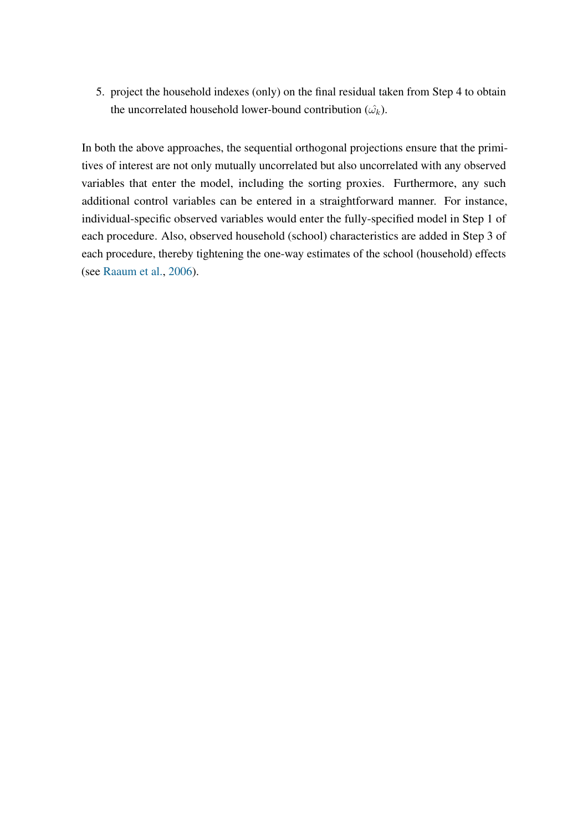5. project the household indexes (only) on the final residual taken from Step 4 to obtain the uncorrelated household lower-bound contribution  $(\hat{\omega_k})$ .

In both the above approaches, the sequential orthogonal projections ensure that the primitives of interest are not only mutually uncorrelated but also uncorrelated with any observed variables that enter the model, including the sorting proxies. Furthermore, any such additional control variables can be entered in a straightforward manner. For instance, individual-specific observed variables would enter the fully-specified model in Step 1 of each procedure. Also, observed household (school) characteristics are added in Step 3 of each procedure, thereby tightening the one-way estimates of the school (household) effects (see [Raaum et al.,](#page-33-9) [2006\)](#page-33-9).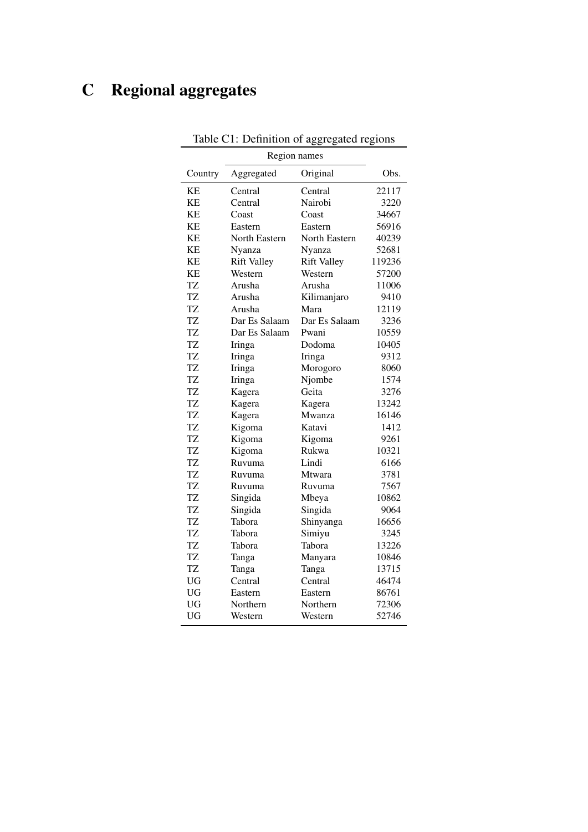# <span id="page-39-0"></span>C Regional aggregates

| Country   | Aggregated         | Original           | Obs.   |
|-----------|--------------------|--------------------|--------|
| KE        | Central            | Central            | 22117  |
| KE        | Central            | Nairobi            | 3220   |
| KЕ        | Coast              | Coast              | 34667  |
| KE        | Eastern            | Eastern            | 56916  |
| KE        | North Eastern      | North Eastern      | 40239  |
| KE        | Nyanza             | Nyanza             | 52681  |
| KЕ        | <b>Rift Valley</b> | <b>Rift Valley</b> | 119236 |
| KЕ        | Western            | Western            | 57200  |
| TZ        | Arusha             | Arusha             | 11006  |
| TZ        | Arusha             | Kilimanjaro        | 9410   |
| <b>TZ</b> | Arusha             | Mara               | 12119  |
| TZ        | Dar Es Salaam      | Dar Es Salaam      | 3236   |
| <b>TZ</b> | Dar Es Salaam      | Pwani              | 10559  |
| <b>TZ</b> | Iringa             | Dodoma             | 10405  |
| TZ        | Iringa             | Iringa             | 9312   |
| TZ        | Iringa             | Morogoro           | 8060   |
| TZ        | Iringa             | Njombe             | 1574   |
| <b>TZ</b> | Kagera             | Geita              | 3276   |
| <b>TZ</b> | Kagera             | Kagera             | 13242  |
| TZ        | Kagera             | Mwanza             | 16146  |
| <b>TZ</b> | Kigoma             | Katavi             | 1412   |
| <b>TZ</b> | Kigoma             | Kigoma             | 9261   |
| <b>TZ</b> | Kigoma             | Rukwa              | 10321  |
| TZ        | Ruvuma             | Lindi              | 6166   |
| <b>TZ</b> | Ruvuma             | Mtwara             | 3781   |
| <b>TZ</b> | Ruvuma             | Ruvuma             | 7567   |
| <b>TZ</b> | Singida            | Mbeya              | 10862  |
| <b>TZ</b> | Singida            | Singida            | 9064   |
| TZ        | Tabora             | Shinyanga          | 16656  |
| <b>TZ</b> | Tabora             | Simiyu             | 3245   |
| TZ        | Tabora             | Tabora             | 13226  |
| <b>TZ</b> | Tanga              | Manyara            | 10846  |
| TZ        | Tanga              | Tanga              | 13715  |
| <b>UG</b> | Central            | Central            | 46474  |
| <b>UG</b> | Eastern            | Eastern            | 86761  |
| <b>UG</b> | Northern           | Northern           | 72306  |
| <b>UG</b> | Western            | Western            | 52746  |

Table C1: Definition of aggregated regions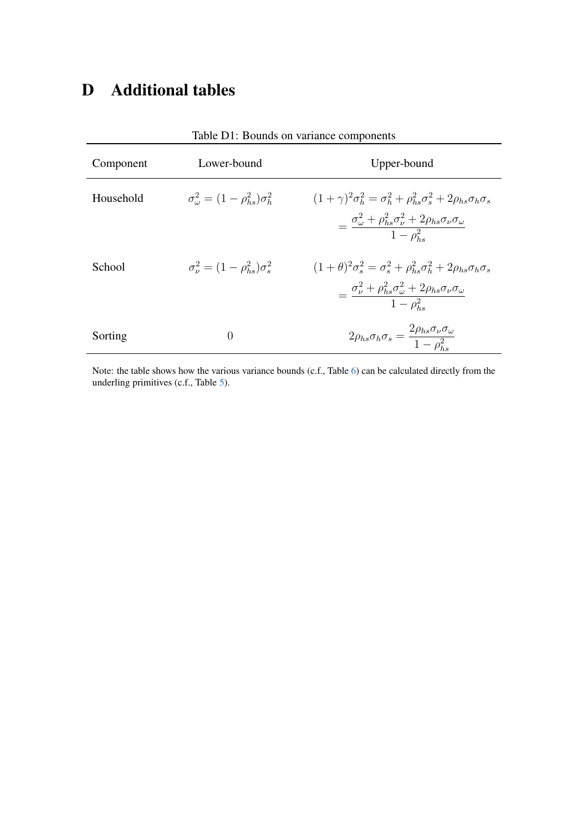# D Additional tables

| Component | Lower-bound                                               | Upper-bound                                                                                                                                                                                                    |
|-----------|-----------------------------------------------------------|----------------------------------------------------------------------------------------------------------------------------------------------------------------------------------------------------------------|
| Household | $\sigma_{\omega}^2 = (1 - \rho_{he}^2) \sigma_h^2$        | $(1+\gamma)^2 \sigma_b^2 = \sigma_b^2 + \rho_{bs}^2 \sigma_s^2 + 2\rho_{bs} \sigma_b \sigma_s$<br>$=\frac{\sigma_{\omega}^2+\rho_{hs}^2\sigma_{\nu}^2+2\rho_{hs}\sigma_{\nu}\sigma_{\omega}}{1-\rho_{\tau}^2}$ |
| School    | $\sigma_{\nu}^2 = (1 - \rho_{\rm bc}^2) \sigma_{\rm c}^2$ | $(1+\theta)^2\sigma_s^2 = \sigma_s^2 + \rho_{hs}^2\sigma_h^2 + 2\rho_{hs}\sigma_h\sigma_s$<br>$=\frac{\sigma_{\nu}^2+\rho_{hs}^2\sigma_{\omega}^2+2\rho_{hs}\sigma_{\nu}\sigma_{\omega}}{1-\rho_{hs}^2}$       |
| Sorting   | $\Omega$                                                  | $2\rho_{hs}\sigma_h\sigma_s=\frac{2\rho_{hs}\sigma_\nu\sigma_\omega}{1-\rho_s^2}$                                                                                                                              |

<span id="page-40-0"></span>Table D1: Bounds on variance components

Note: the table shows how the various variance bounds (c.f., Table [6\)](#page-18-0) can be calculated directly from the underling primitives (c.f., Table [5\)](#page-17-0).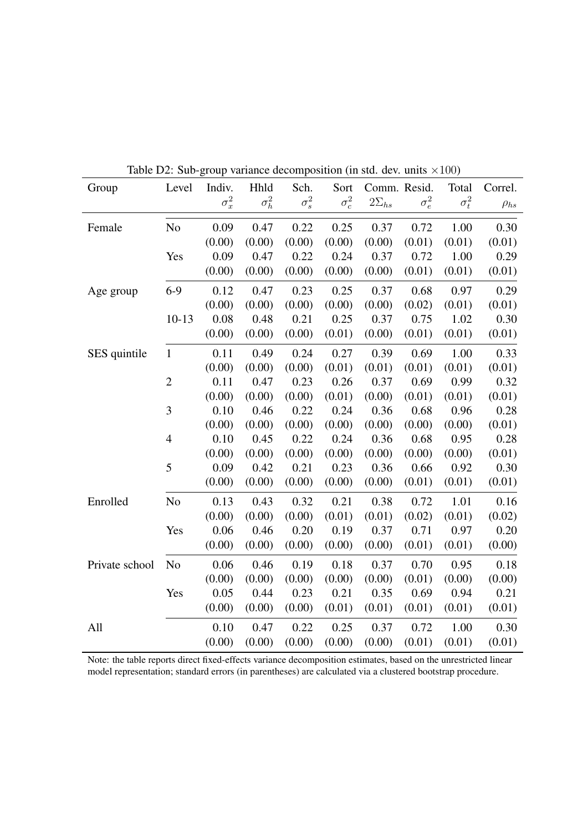| Group          | Level          | Indiv.       | Hhld         | Sch.         | Sort         | $\mu$ sup variance accomposition (in state acts and $\lambda$ 100) | Comm. Resid. | Total        | Correl.     |
|----------------|----------------|--------------|--------------|--------------|--------------|--------------------------------------------------------------------|--------------|--------------|-------------|
|                |                | $\sigma_x^2$ | $\sigma_h^2$ | $\sigma_s^2$ | $\sigma_c^2$ | $2\Sigma_{hs}$                                                     | $\sigma_e^2$ | $\sigma_t^2$ | $\rho_{hs}$ |
| Female         | N <sub>o</sub> | 0.09         | 0.47         | 0.22         | 0.25         | 0.37                                                               | 0.72         | 1.00         | 0.30        |
|                |                | (0.00)       | (0.00)       | (0.00)       | (0.00)       | (0.00)                                                             | (0.01)       | (0.01)       | (0.01)      |
|                | Yes            | 0.09         | 0.47         | 0.22         | 0.24         | 0.37                                                               | 0.72         | 1.00         | 0.29        |
|                |                | (0.00)       | (0.00)       | (0.00)       | (0.00)       | (0.00)                                                             | (0.01)       | (0.01)       | (0.01)      |
| Age group      | $6-9$          | 0.12         | 0.47         | 0.23         | 0.25         | 0.37                                                               | 0.68         | 0.97         | 0.29        |
|                |                | (0.00)       | (0.00)       | (0.00)       | (0.00)       | (0.00)                                                             | (0.02)       | (0.01)       | (0.01)      |
|                | $10-13$        | 0.08         | 0.48         | 0.21         | 0.25         | 0.37                                                               | 0.75         | 1.02         | 0.30        |
|                |                | (0.00)       | (0.00)       | (0.00)       | (0.01)       | (0.00)                                                             | (0.01)       | (0.01)       | (0.01)      |
| SES quintile   | $\mathbf{1}$   | 0.11         | 0.49         | 0.24         | 0.27         | 0.39                                                               | 0.69         | 1.00         | 0.33        |
|                |                | (0.00)       | (0.00)       | (0.00)       | (0.01)       | (0.01)                                                             | (0.01)       | (0.01)       | (0.01)      |
|                | $\overline{2}$ | 0.11         | 0.47         | 0.23         | 0.26         | 0.37                                                               | 0.69         | 0.99         | 0.32        |
|                |                | (0.00)       | (0.00)       | (0.00)       | (0.01)       | (0.00)                                                             | (0.01)       | (0.01)       | (0.01)      |
|                | 3              | 0.10         | 0.46         | 0.22         | 0.24         | 0.36                                                               | 0.68         | 0.96         | 0.28        |
|                |                | (0.00)       | (0.00)       | (0.00)       | (0.00)       | (0.00)                                                             | (0.00)       | (0.00)       | (0.01)      |
|                | $\overline{4}$ | 0.10         | 0.45         | 0.22         | 0.24         | 0.36                                                               | 0.68         | 0.95         | 0.28        |
|                |                | (0.00)       | (0.00)       | (0.00)       | (0.00)       | (0.00)                                                             | (0.00)       | (0.00)       | (0.01)      |
|                | 5              | 0.09         | 0.42         | 0.21         | 0.23         | 0.36                                                               | 0.66         | 0.92         | 0.30        |
|                |                | (0.00)       | (0.00)       | (0.00)       | (0.00)       | (0.00)                                                             | (0.01)       | (0.01)       | (0.01)      |
| Enrolled       | No             | 0.13         | 0.43         | 0.32         | 0.21         | 0.38                                                               | 0.72         | 1.01         | 0.16        |
|                |                | (0.00)       | (0.00)       | (0.00)       | (0.01)       | (0.01)                                                             | (0.02)       | (0.01)       | (0.02)      |
|                | Yes            | 0.06         | 0.46         | 0.20         | 0.19         | 0.37                                                               | 0.71         | 0.97         | 0.20        |
|                |                | (0.00)       | (0.00)       | (0.00)       | (0.00)       | (0.00)                                                             | (0.01)       | (0.01)       | (0.00)      |
| Private school | N <sub>o</sub> | 0.06         | 0.46         | 0.19         | 0.18         | 0.37                                                               | 0.70         | 0.95         | 0.18        |
|                |                | (0.00)       | (0.00)       | (0.00)       | (0.00)       | (0.00)                                                             | (0.01)       | (0.00)       | (0.00)      |
|                | Yes            | 0.05         | 0.44         | 0.23         | 0.21         | 0.35                                                               | 0.69         | 0.94         | 0.21        |
|                |                | (0.00)       | (0.00)       | (0.00)       | (0.01)       | (0.01)                                                             | (0.01)       | (0.01)       | (0.01)      |
| All            |                | 0.10         | 0.47         | 0.22         | 0.25         | 0.37                                                               | 0.72         | 1.00         | 0.30        |
|                |                | (0.00)       | (0.00)       | (0.00)       | (0.00)       | (0.00)                                                             | (0.01)       | (0.01)       | (0.01)      |

<span id="page-41-0"></span>Table D2: Sub-group variance decomposition (in std. dev. units  $\times 100$ )

Note: the table reports direct fixed-effects variance decomposition estimates, based on the unrestricted linear model representation; standard errors (in parentheses) are calculated via a clustered bootstrap procedure.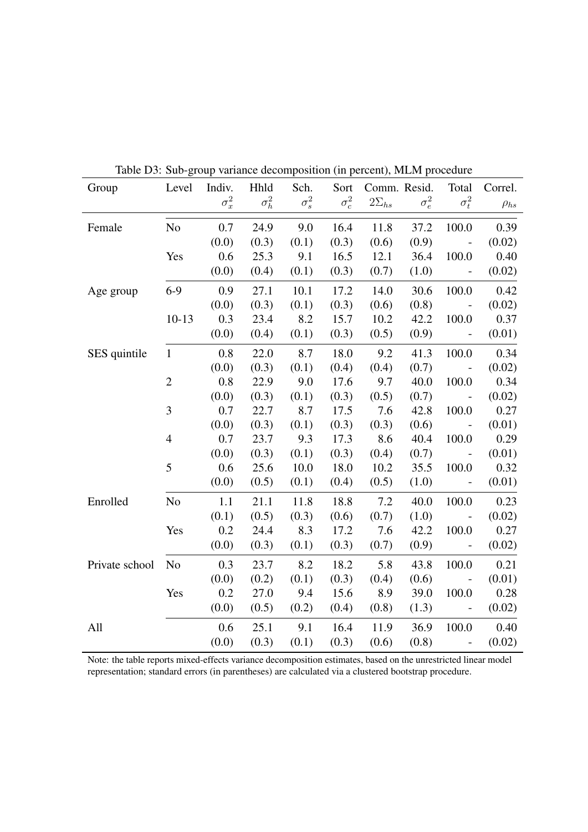| Group          | Level          | Indiv.       | Hhld         | Sch.         | Sort         | raone Do. Suo group variance accomposition (in percent), mani procedure | Comm. Resid. | Total                                                    | Correl.     |
|----------------|----------------|--------------|--------------|--------------|--------------|-------------------------------------------------------------------------|--------------|----------------------------------------------------------|-------------|
|                |                | $\sigma_x^2$ | $\sigma_h^2$ | $\sigma_s^2$ | $\sigma_c^2$ | $2\Sigma_{hs}$                                                          | $\sigma_e^2$ | $\sigma_t^2$                                             | $\rho_{hs}$ |
| Female         | N <sub>o</sub> | 0.7          | 24.9         | 9.0          | 16.4         | 11.8                                                                    | 37.2         | 100.0                                                    | 0.39        |
|                |                | (0.0)        | (0.3)        | (0.1)        | (0.3)        | (0.6)                                                                   | (0.9)        | $\sim$ $-$                                               | (0.02)      |
|                | Yes            | 0.6          | 25.3         | 9.1          | 16.5         | 12.1                                                                    | 36.4         | 100.0                                                    | 0.40        |
|                |                | (0.0)        | (0.4)        | (0.1)        | (0.3)        | (0.7)                                                                   | (1.0)        | $\sim$ $-$                                               | (0.02)      |
| Age group      | $6-9$          | 0.9          | 27.1         | 10.1         | 17.2         | 14.0                                                                    | 30.6         | 100.0                                                    | 0.42        |
|                |                | (0.0)        | (0.3)        | (0.1)        | (0.3)        | (0.6)                                                                   | (0.8)        | $\sim$ $-$                                               | (0.02)      |
|                | $10-13$        | 0.3          | 23.4         | 8.2          | 15.7         | 10.2                                                                    | 42.2         | 100.0                                                    | 0.37        |
|                |                | (0.0)        | (0.4)        | (0.1)        | (0.3)        | (0.5)                                                                   | (0.9)        | $\sim$ $-$                                               | (0.01)      |
| SES quintile   | $\mathbf{1}$   | 0.8          | 22.0         | 8.7          | 18.0         | 9.2                                                                     | 41.3         | 100.0                                                    | 0.34        |
|                |                | (0.0)        | (0.3)        | (0.1)        | (0.4)        | (0.4)                                                                   | (0.7)        | $\sim$ $-$                                               | (0.02)      |
|                | $\overline{2}$ | 0.8          | 22.9         | 9.0          | 17.6         | 9.7                                                                     | 40.0         | 100.0                                                    | 0.34        |
|                |                | (0.0)        | (0.3)        | (0.1)        | (0.3)        | (0.5)                                                                   | (0.7)        | $\sim$                                                   | (0.02)      |
|                | 3              | 0.7          | 22.7         | 8.7          | 17.5         | 7.6                                                                     | 42.8         | 100.0                                                    | 0.27        |
|                |                | (0.0)        | (0.3)        | (0.1)        | (0.3)        | (0.3)                                                                   | (0.6)        | $\sim 100$ km $^{-1}$                                    | (0.01)      |
|                | $\overline{4}$ | 0.7          | 23.7         | 9.3          | 17.3         | 8.6                                                                     | 40.4         | 100.0                                                    | 0.29        |
|                |                | (0.0)        | (0.3)        | (0.1)        | (0.3)        | (0.4)                                                                   | (0.7)        | $\sim 100$ km $^{-1}$                                    | (0.01)      |
|                | 5              | 0.6          | 25.6         | 10.0         | 18.0         | 10.2                                                                    | 35.5         | 100.0                                                    | 0.32        |
|                |                | (0.0)        | (0.5)        | (0.1)        | (0.4)        | (0.5)                                                                   | (1.0)        | $\sim$ $-$                                               | (0.01)      |
| Enrolled       | N <sub>0</sub> | 1.1          | 21.1         | 11.8         | 18.8         | 7.2                                                                     | 40.0         | 100.0                                                    | 0.23        |
|                |                | (0.1)        | (0.5)        | (0.3)        | (0.6)        | (0.7)                                                                   | (1.0)        | $\sim 100$ $\mu$                                         | (0.02)      |
|                | Yes            | 0.2          | 24.4         | 8.3          | 17.2         | 7.6                                                                     | 42.2         | 100.0                                                    | 0.27        |
|                |                | (0.0)        | (0.3)        | (0.1)        | (0.3)        | (0.7)                                                                   | (0.9)        | $\sim 100$ $\mu$                                         | (0.02)      |
| Private school | N <sub>0</sub> | 0.3          | 23.7         | 8.2          | 18.2         | 5.8                                                                     | 43.8         | 100.0                                                    | 0.21        |
|                |                | (0.0)        | (0.2)        | (0.1)        | (0.3)        | (0.4)                                                                   | (0.6)        | $\sim 10^{-10}$                                          | (0.01)      |
|                | Yes            | 0.2          | 27.0         | 9.4          | 15.6         | 8.9                                                                     | 39.0         | 100.0                                                    | 0.28        |
|                |                | (0.0)        | (0.5)        | (0.2)        | (0.4)        | (0.8)                                                                   | (1.3)        | $\sim 10^{-1}$                                           | (0.02)      |
| All            |                | 0.6          | 25.1         | 9.1          | 16.4         | 11.9                                                                    | 36.9         | 100.0                                                    | 0.40        |
|                |                | (0.0)        | (0.3)        | (0.1)        | (0.3)        | (0.6)                                                                   | (0.8)        | $\mathcal{L}^{\mathcal{L}}(\mathcal{L}^{\mathcal{L}})$ . | (0.02)      |

<span id="page-42-0"></span>Table D3: Sub-group variance decomposition (in percent), MLM procedure

Note: the table reports mixed-effects variance decomposition estimates, based on the unrestricted linear model representation; standard errors (in parentheses) are calculated via a clustered bootstrap procedure.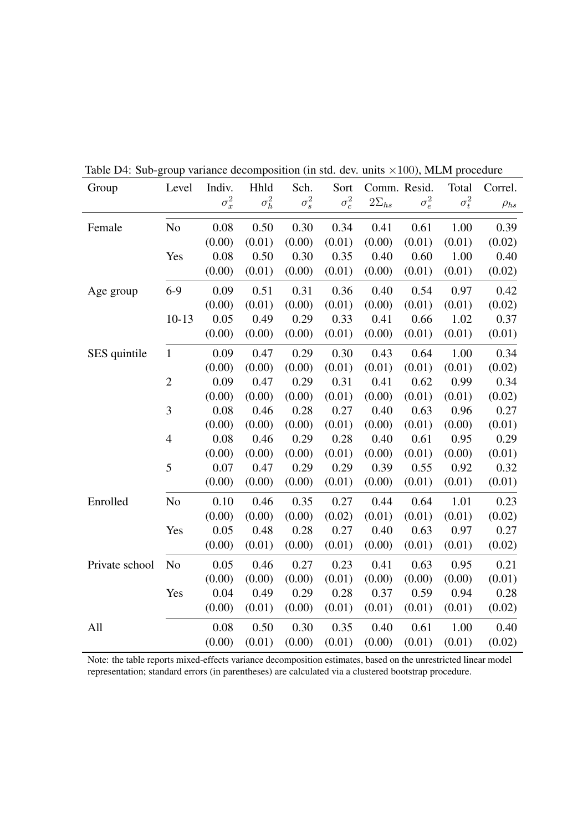| Group          | Level          | Indiv.       | Hhld         | Sch.         | Sort         | Comm. Resid.   |              | Total        | Correl.     |
|----------------|----------------|--------------|--------------|--------------|--------------|----------------|--------------|--------------|-------------|
|                |                | $\sigma_x^2$ | $\sigma_h^2$ | $\sigma_s^2$ | $\sigma_c^2$ | $2\Sigma_{hs}$ | $\sigma_e^2$ | $\sigma_t^2$ | $\rho_{hs}$ |
| Female         | No             | 0.08         | 0.50         | 0.30         | 0.34         | 0.41           | 0.61         | 1.00         | 0.39        |
|                |                | (0.00)       | (0.01)       | (0.00)       | (0.01)       | (0.00)         | (0.01)       | (0.01)       | (0.02)      |
|                | Yes            | 0.08         | 0.50         | 0.30         | 0.35         | 0.40           | 0.60         | 1.00         | 0.40        |
|                |                | (0.00)       | (0.01)       | (0.00)       | (0.01)       | (0.00)         | (0.01)       | (0.01)       | (0.02)      |
| Age group      | $6-9$          | 0.09         | 0.51         | 0.31         | 0.36         | 0.40           | 0.54         | 0.97         | 0.42        |
|                |                | (0.00)       | (0.01)       | (0.00)       | (0.01)       | (0.00)         | (0.01)       | (0.01)       | (0.02)      |
|                | $10 - 13$      | 0.05         | 0.49         | 0.29         | 0.33         | 0.41           | 0.66         | 1.02         | 0.37        |
|                |                | (0.00)       | (0.00)       | (0.00)       | (0.01)       | (0.00)         | (0.01)       | (0.01)       | (0.01)      |
| SES quintile   | $\mathbf{1}$   | 0.09         | 0.47         | 0.29         | 0.30         | 0.43           | 0.64         | 1.00         | 0.34        |
|                |                | (0.00)       | (0.00)       | (0.00)       | (0.01)       | (0.01)         | (0.01)       | (0.01)       | (0.02)      |
|                | $\overline{2}$ | 0.09         | 0.47         | 0.29         | 0.31         | 0.41           | 0.62         | 0.99         | 0.34        |
|                |                | (0.00)       | (0.00)       | (0.00)       | (0.01)       | (0.00)         | (0.01)       | (0.01)       | (0.02)      |
|                | 3              | 0.08         | 0.46         | 0.28         | 0.27         | 0.40           | 0.63         | 0.96         | 0.27        |
|                |                | (0.00)       | (0.00)       | (0.00)       | (0.01)       | (0.00)         | (0.01)       | (0.00)       | (0.01)      |
|                | $\overline{4}$ | 0.08         | 0.46         | 0.29         | 0.28         | 0.40           | 0.61         | 0.95         | 0.29        |
|                |                | (0.00)       | (0.00)       | (0.00)       | (0.01)       | (0.00)         | (0.01)       | (0.00)       | (0.01)      |
|                | 5              | 0.07         | 0.47         | 0.29         | 0.29         | 0.39           | 0.55         | 0.92         | 0.32        |
|                |                | (0.00)       | (0.00)       | (0.00)       | (0.01)       | (0.00)         | (0.01)       | (0.01)       | (0.01)      |
| Enrolled       | No             | 0.10         | 0.46         | 0.35         | 0.27         | 0.44           | 0.64         | 1.01         | 0.23        |
|                |                | (0.00)       | (0.00)       | (0.00)       | (0.02)       | (0.01)         | (0.01)       | (0.01)       | (0.02)      |
|                | Yes            | 0.05         | 0.48         | 0.28         | 0.27         | 0.40           | 0.63         | 0.97         | 0.27        |
|                |                | (0.00)       | (0.01)       | (0.00)       | (0.01)       | (0.00)         | (0.01)       | (0.01)       | (0.02)      |
| Private school | N <sub>o</sub> | 0.05         | 0.46         | 0.27         | 0.23         | 0.41           | 0.63         | 0.95         | 0.21        |
|                |                | (0.00)       | (0.00)       | (0.00)       | (0.01)       | (0.00)         | (0.00)       | (0.00)       | (0.01)      |
|                | Yes            | 0.04         | 0.49         | 0.29         | 0.28         | 0.37           | 0.59         | 0.94         | 0.28        |
|                |                | (0.00)       | (0.01)       | (0.00)       | (0.01)       | (0.01)         | (0.01)       | (0.01)       | (0.02)      |
| All            |                | 0.08         | 0.50         | 0.30         | 0.35         | 0.40           | 0.61         | 1.00         | 0.40        |
|                |                | (0.00)       | (0.01)       | (0.00)       | (0.01)       | (0.00)         | (0.01)       | (0.01)       | (0.02)      |

<span id="page-43-0"></span>Table D4: Sub-group variance decomposition (in std. dev. units  $\times 100$ ), MLM procedure

Note: the table reports mixed-effects variance decomposition estimates, based on the unrestricted linear model representation; standard errors (in parentheses) are calculated via a clustered bootstrap procedure.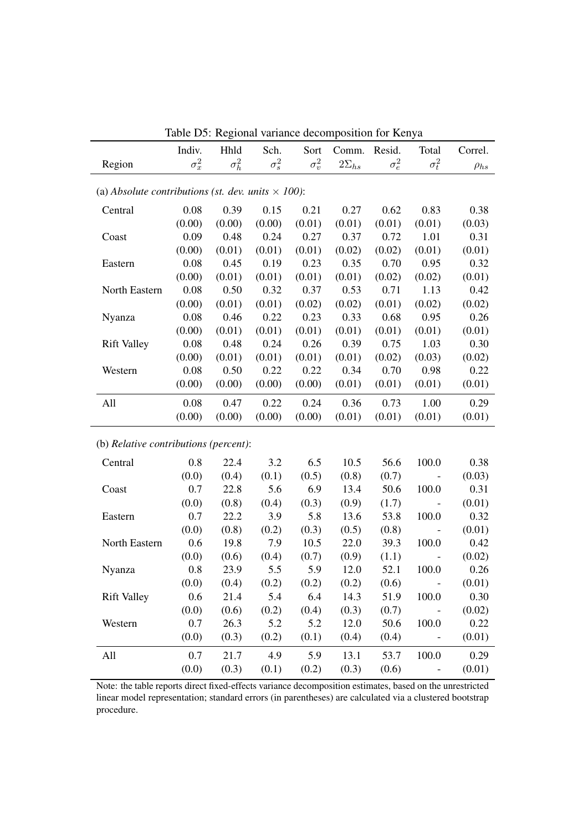| raoic Do. Regional variance accomposition for Religa<br>Indiv.<br>Hhld<br>Sch.<br>Sort<br>Comm.<br>Resid.<br>Total<br>Correl. |              |              |              |              |                |              |                          |             |  |
|-------------------------------------------------------------------------------------------------------------------------------|--------------|--------------|--------------|--------------|----------------|--------------|--------------------------|-------------|--|
| Region                                                                                                                        | $\sigma_x^2$ | $\sigma_h^2$ | $\sigma_s^2$ | $\sigma_v^2$ | $2\Sigma_{hs}$ | $\sigma_e^2$ | $\sigma_t^2$             | $\rho_{hs}$ |  |
|                                                                                                                               |              |              |              |              |                |              |                          |             |  |
| (a) Absolute contributions (st. dev. units $\times$ 100):                                                                     |              |              |              |              |                |              |                          |             |  |
| Central                                                                                                                       | 0.08         | 0.39         | 0.15         | 0.21         | 0.27           | 0.62         | 0.83                     | 0.38        |  |
|                                                                                                                               | (0.00)       | (0.00)       | (0.00)       | (0.01)       | (0.01)         | (0.01)       | (0.01)                   | (0.03)      |  |
| Coast                                                                                                                         | 0.09         | 0.48         | 0.24         | 0.27         | 0.37           | 0.72         | 1.01                     | 0.31        |  |
|                                                                                                                               | (0.00)       | (0.01)       | (0.01)       | (0.01)       | (0.02)         | (0.02)       | (0.01)                   | (0.01)      |  |
| Eastern                                                                                                                       | 0.08         | 0.45         | 0.19         | 0.23         | 0.35           | 0.70         | 0.95                     | 0.32        |  |
|                                                                                                                               | (0.00)       | (0.01)       | (0.01)       | (0.01)       | (0.01)         | (0.02)       | (0.02)                   | (0.01)      |  |
| North Eastern                                                                                                                 | 0.08         | 0.50         | 0.32         | 0.37         | 0.53           | 0.71         | 1.13                     | 0.42        |  |
|                                                                                                                               | (0.00)       | (0.01)       | (0.01)       | (0.02)       | (0.02)         | (0.01)       | (0.02)                   | (0.02)      |  |
| Nyanza                                                                                                                        | 0.08         | 0.46         | 0.22         | 0.23         | 0.33           | 0.68         | 0.95                     | 0.26        |  |
|                                                                                                                               | (0.00)       | (0.01)       | (0.01)       | (0.01)       | (0.01)         | (0.01)       | (0.01)                   | (0.01)      |  |
| <b>Rift Valley</b>                                                                                                            | 0.08         | 0.48         | 0.24         | 0.26         | 0.39           | 0.75         | 1.03                     | 0.30        |  |
|                                                                                                                               | (0.00)       | (0.01)       | (0.01)       | (0.01)       | (0.01)         | (0.02)       | (0.03)                   | (0.02)      |  |
| Western                                                                                                                       | 0.08         | 0.50         | 0.22         | 0.22         | 0.34           | 0.70         | 0.98                     | 0.22        |  |
|                                                                                                                               | (0.00)       | (0.00)       | (0.00)       | (0.00)       | (0.01)         | (0.01)       | (0.01)                   | (0.01)      |  |
| All                                                                                                                           | 0.08         | 0.47         | 0.22         | 0.24         | 0.36           | 0.73         | 1.00                     | 0.29        |  |
|                                                                                                                               | (0.00)       | (0.00)       | (0.00)       | (0.00)       | (0.01)         | (0.01)       | (0.01)                   | (0.01)      |  |
| (b) Relative contributions (percent):                                                                                         |              |              |              |              |                |              |                          |             |  |
| Central                                                                                                                       | 0.8          | 22.4         | 3.2          | 6.5          | 10.5           | 56.6         | 100.0                    | 0.38        |  |
|                                                                                                                               | (0.0)        | (0.4)        | (0.1)        | (0.5)        | (0.8)          | (0.7)        | $\overline{a}$           | (0.03)      |  |
| Coast                                                                                                                         | 0.7          | 22.8         | 5.6          | 6.9          | 13.4           | 50.6         | 100.0                    | 0.31        |  |
|                                                                                                                               | (0.0)        | (0.8)        | (0.4)        | (0.3)        | (0.9)          | (1.7)        | $\overline{\phantom{a}}$ | (0.01)      |  |
| Eastern                                                                                                                       | 0.7          | 22.2         | 3.9          | 5.8          | 13.6           | 53.8         | 100.0                    | 0.32        |  |
|                                                                                                                               | (0.0)        | (0.8)        | (0.2)        | (0.3)        | (0.5)          | (0.8)        | $\overline{\phantom{a}}$ | (0.01)      |  |
| North Eastern                                                                                                                 | 0.6          | 19.8         | 7.9          | 10.5         | 22.0           | 39.3         | 100.0                    | 0.42        |  |
|                                                                                                                               | (0.0)        | (0.6)        | (0.4)        | (0.7)        | (0.9)          | (1.1)        | $\qquad \qquad -$        | (0.02)      |  |
| Nyanza                                                                                                                        | 0.8          | 23.9         | 5.5          | 5.9          | 12.0           | 52.1         | 100.0                    | 0.26        |  |
|                                                                                                                               | (0.0)        | (0.4)        | (0.2)        | (0.2)        | (0.2)          | (0.6)        |                          | (0.01)      |  |
| <b>Rift Valley</b>                                                                                                            | 0.6          | 21.4         | 5.4          | 6.4          | 14.3           | 51.9         | 100.0                    | 0.30        |  |
|                                                                                                                               | (0.0)        | (0.6)        | (0.2)        | (0.4)        | (0.3)          | (0.7)        | $\overline{\phantom{a}}$ | (0.02)      |  |
| Western                                                                                                                       | 0.7          | 26.3         | 5.2          | 5.2          | 12.0           | 50.6         | 100.0                    | 0.22        |  |
|                                                                                                                               | (0.0)        | (0.3)        | (0.2)        | (0.1)        | (0.4)          | (0.4)        | $\overline{\phantom{a}}$ | (0.01)      |  |
| All                                                                                                                           | 0.7          | 21.7         | 4.9          | 5.9          | 13.1           | 53.7         | 100.0                    | 0.29        |  |
|                                                                                                                               | (0.0)        | (0.3)        | (0.1)        | (0.2)        | (0.3)          | (0.6)        | $\qquad \qquad -$        | (0.01)      |  |
|                                                                                                                               |              |              |              |              |                |              |                          |             |  |

<span id="page-44-0"></span>Table D5: Regional variance decomposition for Kenya

Note: the table reports direct fixed-effects variance decomposition estimates, based on the unrestricted linear model representation; standard errors (in parentheses) are calculated via a clustered bootstrap procedure.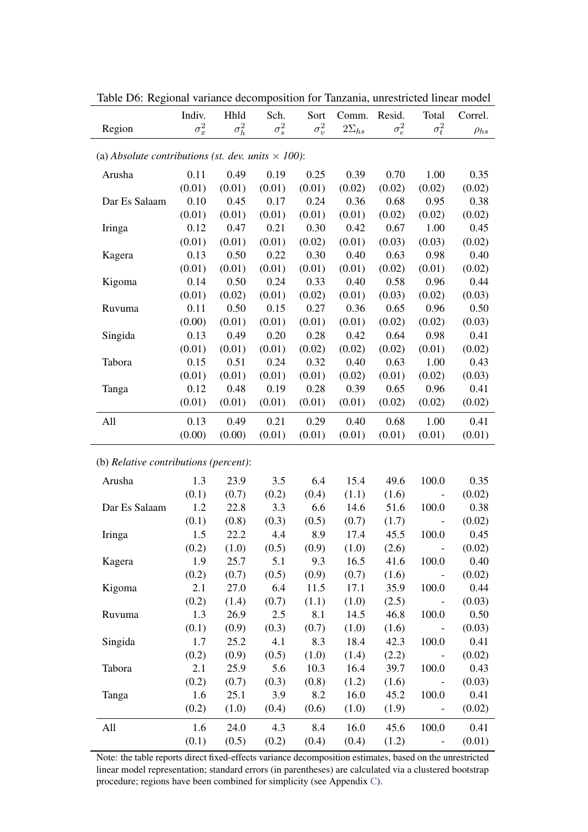|                                                           | Indiv.       | Hhld         | Sch.         | Sort         | Comm.          | Resid.       | Total                        | Correl.     |  |
|-----------------------------------------------------------|--------------|--------------|--------------|--------------|----------------|--------------|------------------------------|-------------|--|
| Region                                                    | $\sigma_x^2$ | $\sigma_h^2$ | $\sigma_s^2$ | $\sigma_v^2$ | $2\Sigma_{hs}$ | $\sigma_e^2$ | $\sigma_t^2$                 | $\rho_{hs}$ |  |
|                                                           |              |              |              |              |                |              |                              |             |  |
| (a) Absolute contributions (st. dev. units $\times$ 100): |              |              |              |              |                |              |                              |             |  |
| Arusha                                                    | 0.11         | 0.49         | 0.19         | 0.25         | 0.39           | 0.70         | 1.00                         | 0.35        |  |
|                                                           | (0.01)       | (0.01)       | (0.01)       | (0.01)       | (0.02)         | (0.02)       | (0.02)                       | (0.02)      |  |
| Dar Es Salaam                                             | 0.10         | 0.45         | 0.17         | 0.24         | 0.36           | 0.68         | 0.95                         | 0.38        |  |
|                                                           | (0.01)       | (0.01)       | (0.01)       | (0.01)       | (0.01)         | (0.02)       | (0.02)                       | (0.02)      |  |
| Iringa                                                    | 0.12         | 0.47         | 0.21         | 0.30         | 0.42           | 0.67         | 1.00                         | 0.45        |  |
|                                                           | (0.01)       | (0.01)       | (0.01)       | (0.02)       | (0.01)         | (0.03)       | (0.03)                       | (0.02)      |  |
| Kagera                                                    | 0.13         | 0.50         | 0.22         | 0.30         | 0.40           | 0.63         | 0.98                         | 0.40        |  |
|                                                           | (0.01)       | (0.01)       | (0.01)       | (0.01)       | (0.01)         | (0.02)       | (0.01)                       | (0.02)      |  |
| Kigoma                                                    | 0.14         | 0.50         | 0.24         | 0.33         | 0.40           | 0.58         | 0.96                         | 0.44        |  |
|                                                           | (0.01)       | (0.02)       | (0.01)       | (0.02)       | (0.01)         | (0.03)       | (0.02)                       | (0.03)      |  |
| Ruvuma                                                    | 0.11         | 0.50         | 0.15         | 0.27         | 0.36           | 0.65         | 0.96                         | 0.50        |  |
|                                                           | (0.00)       | (0.01)       | (0.01)       | (0.01)       | (0.01)         | (0.02)       | (0.02)                       | (0.03)      |  |
| Singida                                                   | 0.13         | 0.49         | 0.20         | 0.28         | 0.42           | 0.64         | 0.98                         | 0.41        |  |
|                                                           | (0.01)       | (0.01)       | (0.01)       | (0.02)       | (0.02)         | (0.02)       | (0.01)                       | (0.02)      |  |
| Tabora                                                    | 0.15         | 0.51         | 0.24         | 0.32         | 0.40           | 0.63         | 1.00                         | 0.43        |  |
|                                                           | (0.01)       | (0.01)       | (0.01)       | (0.01)       | (0.02)         | (0.01)       | (0.02)                       | (0.03)      |  |
| Tanga                                                     | 0.12         | 0.48         | 0.19         | 0.28         | 0.39           | 0.65         | 0.96                         | 0.41        |  |
|                                                           | (0.01)       | (0.01)       | (0.01)       | (0.01)       | (0.01)         | (0.02)       | (0.02)                       | (0.02)      |  |
|                                                           |              |              |              |              |                |              |                              |             |  |
| All                                                       | 0.13         | 0.49         | 0.21         | 0.29         | 0.40           | 0.68         | 1.00                         | 0.41        |  |
|                                                           | (0.00)       | (0.00)       | (0.01)       | (0.01)       | (0.01)         | (0.01)       | (0.01)                       | (0.01)      |  |
| (b) Relative contributions (percent):                     |              |              |              |              |                |              |                              |             |  |
|                                                           |              |              |              |              |                |              |                              |             |  |
| Arusha                                                    | 1.3          | 23.9         | 3.5          | 6.4          | 15.4           | 49.6         | 100.0                        | 0.35        |  |
|                                                           | (0.1)        | (0.7)        | (0.2)        | (0.4)        | (1.1)          | (1.6)        | $\qquad \qquad \blacksquare$ | (0.02)      |  |
| Dar Es Salaam                                             | 1.2          | 22.8         | 3.3          | 6.6          | 14.6           | 51.6         | 100.0                        | 0.38        |  |
|                                                           | (0.1)        | (0.8)        | (0.3)        | (0.5)        | (0.7)          | (1.7)        |                              | (0.02)      |  |
| Iringa                                                    | 1.5          | 22.2         | 4.4          | 8.9          | 17.4           | 45.5         | 100.0                        | 0.45        |  |
|                                                           | (0.2)        | (1.0)        | (0.5)        | (0.9)        | (1.0)          | (2.6)        | $\qquad \qquad -$            | (0.02)      |  |
| Kagera                                                    | 1.9          | 25.7         | 5.1          | 9.3          | 16.5           | 41.6         | 100.0                        | 0.40        |  |
|                                                           | (0.2)        | (0.7)        | (0.5)        | (0.9)        | (0.7)          | (1.6)        |                              | (0.02)      |  |
| Kigoma                                                    | 2.1          | 27.0         | 6.4          | 11.5         | 17.1           | 35.9         | 100.0                        | 0.44        |  |
|                                                           | (0.2)        | (1.4)        | (0.7)        | (1.1)        | (1.0)          | (2.5)        |                              | (0.03)      |  |
| Ruvuma                                                    | 1.3          | 26.9         | 2.5          | 8.1          | 14.5           | 46.8         | 100.0                        | 0.50        |  |
|                                                           | (0.1)        | (0.9)        | (0.3)        | (0.7)        | (1.0)          | (1.6)        |                              | (0.03)      |  |
| Singida                                                   | 1.7          | 25.2         | 4.1          | 8.3          | 18.4           | 42.3         | 100.0                        | 0.41        |  |
|                                                           | (0.2)        | (0.9)        | (0.5)        | (1.0)        | (1.4)          | (2.2)        |                              | (0.02)      |  |
| Tabora                                                    | 2.1          | 25.9         | 5.6          | 10.3         | 16.4           | 39.7         | 100.0                        | 0.43        |  |
|                                                           | (0.2)        | (0.7)        | (0.3)        | (0.8)        | (1.2)          | (1.6)        |                              | (0.03)      |  |
| Tanga                                                     | 1.6          | 25.1         | 3.9          | 8.2          | 16.0           | 45.2         | 100.0                        | 0.41        |  |
|                                                           | (0.2)        | (1.0)        | (0.4)        | (0.6)        | (1.0)          | (1.9)        | $\qquad \qquad \blacksquare$ | (0.02)      |  |
| All                                                       | 1.6          | 24.0         | 4.3          | 8.4          | 16.0           | 45.6         | 100.0                        | 0.41        |  |
|                                                           | (0.1)        | (0.5)        | (0.2)        | (0.4)        | (0.4)          | (1.2)        |                              | (0.01)      |  |

Table D6: Regional variance decomposition for Tanzania, unrestricted linear model

Note: the table reports direct fixed-effects variance decomposition estimates, based on the unrestricted linear model representation; standard errors (in parentheses) are calculated via a clustered bootstrap procedure; regions have been combined for simplicity (see Appendix [C\)](#page-39-0).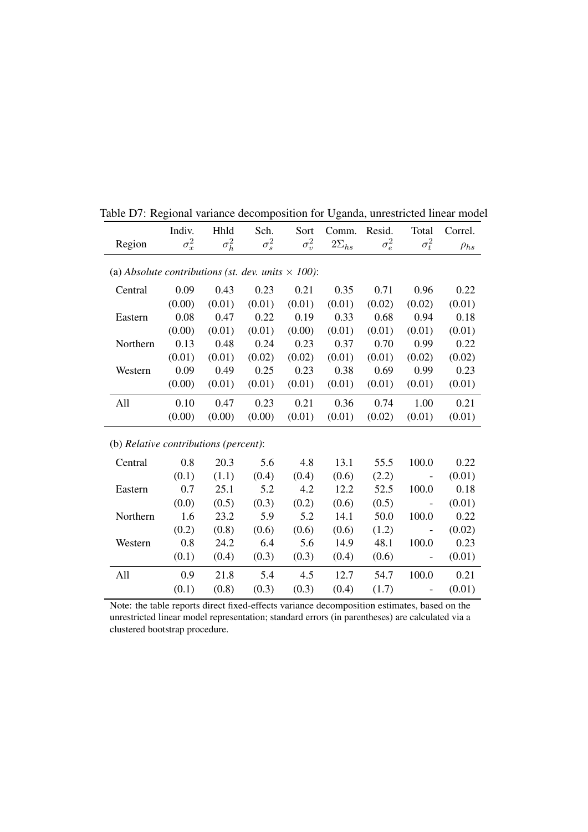<span id="page-46-0"></span>

|                                                           | Indiv.       | Hhld         | Sch.         | Sort         | Comm.          | Resid.       | Total                    | Correl.     |  |
|-----------------------------------------------------------|--------------|--------------|--------------|--------------|----------------|--------------|--------------------------|-------------|--|
| Region                                                    | $\sigma_x^2$ | $\sigma_h^2$ | $\sigma_s^2$ | $\sigma_v^2$ | $2\Sigma_{hs}$ | $\sigma_e^2$ | $\sigma_t^2$             | $\rho_{hs}$ |  |
| (a) Absolute contributions (st. dev. units $\times$ 100): |              |              |              |              |                |              |                          |             |  |
|                                                           |              |              |              |              |                |              |                          |             |  |
| Central                                                   | 0.09         | 0.43         | 0.23         | 0.21         | 0.35           | 0.71         | 0.96                     | 0.22        |  |
|                                                           | (0.00)       | (0.01)       | (0.01)       | (0.01)       | (0.01)         | (0.02)       | (0.02)                   | (0.01)      |  |
| Eastern                                                   | 0.08         | 0.47         | 0.22         | 0.19         | 0.33           | 0.68         | 0.94                     | 0.18        |  |
|                                                           | (0.00)       | (0.01)       | (0.01)       | (0.00)       | (0.01)         | (0.01)       | (0.01)                   | (0.01)      |  |
| Northern                                                  | 0.13         | 0.48         | 0.24         | 0.23         | 0.37           | 0.70         | 0.99                     | 0.22        |  |
|                                                           | (0.01)       | (0.01)       | (0.02)       | (0.02)       | (0.01)         | (0.01)       | (0.02)                   | (0.02)      |  |
| Western                                                   | 0.09         | 0.49         | 0.25         | 0.23         | 0.38           | 0.69         | 0.99                     | 0.23        |  |
|                                                           | (0.00)       | (0.01)       | (0.01)       | (0.01)       | (0.01)         | (0.01)       | (0.01)                   | (0.01)      |  |
| All                                                       | 0.10         | 0.47         | 0.23         | 0.21         | 0.36           | 0.74         | 1.00                     | 0.21        |  |
|                                                           | (0.00)       | (0.00)       | (0.00)       | (0.01)       | (0.01)         | (0.02)       | (0.01)                   | (0.01)      |  |
| (b) Relative contributions (percent):                     |              |              |              |              |                |              |                          |             |  |
| Central                                                   | 0.8          | 20.3         | 5.6          | 4.8          | 13.1           | 55.5         | 100.0                    | 0.22        |  |
|                                                           | (0.1)        | (1.1)        | (0.4)        | (0.4)        | (0.6)          | (2.2)        | $\qquad \qquad -$        | (0.01)      |  |
| Eastern                                                   | 0.7          | 25.1         | 5.2          | 4.2          | 12.2           | 52.5         | 100.0                    | 0.18        |  |
|                                                           | (0.0)        | (0.5)        | (0.3)        | (0.2)        | (0.6)          | (0.5)        | $\qquad \qquad -$        | (0.01)      |  |
| Northern                                                  | 1.6          | 23.2         | 5.9          | 5.2          | 14.1           | 50.0         | 100.0                    | 0.22        |  |
|                                                           | (0.2)        | (0.8)        | (0.6)        | (0.6)        | (0.6)          | (1.2)        |                          | (0.02)      |  |
| Western                                                   | 0.8          | 24.2         | 6.4          | 5.6          | 14.9           | 48.1         | 100.0                    | 0.23        |  |
|                                                           | (0.1)        | (0.4)        | (0.3)        | (0.3)        | (0.4)          | (0.6)        | $\overline{\phantom{0}}$ | (0.01)      |  |
| All                                                       | 0.9          | 21.8         | 5.4          | 4.5          | 12.7           | 54.7         | 100.0                    | 0.21        |  |
|                                                           | (0.1)        | (0.8)        | (0.3)        | (0.3)        | (0.4)          | (1.7)        | $\overline{\phantom{0}}$ | (0.01)      |  |

Note: the table reports direct fixed-effects variance decomposition estimates, based on the unrestricted linear model representation; standard errors (in parentheses) are calculated via a clustered bootstrap procedure.